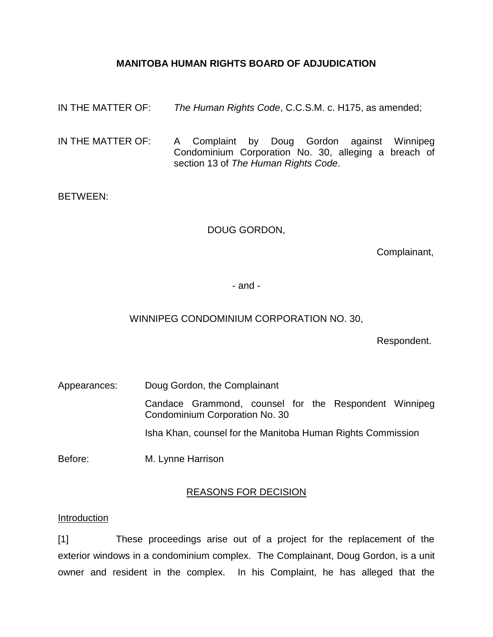## **MANITOBA HUMAN RIGHTS BOARD OF ADJUDICATION**

IN THE MATTER OF: *The Human Rights Code*, C.C.S.M. c. H175, as amended;

IN THE MATTER OF: A Complaint by Doug Gordon against Winnipeg Condominium Corporation No. 30, alleging a breach of section 13 of *The Human Rights Code*.

### BETWEEN:

## DOUG GORDON,

Complainant,

- and -

## WINNIPEG CONDOMINIUM CORPORATION NO. 30,

Respondent.

Appearances: Doug Gordon, the Complainant Candace Grammond, counsel for the Respondent Winnipeg Condominium Corporation No. 30 Isha Khan, counsel for the Manitoba Human Rights Commission

Before: M. Lynne Harrison

## REASONS FOR DECISION

#### Introduction

[1] These proceedings arise out of a project for the replacement of the exterior windows in a condominium complex. The Complainant, Doug Gordon, is a unit owner and resident in the complex. In his Complaint, he has alleged that the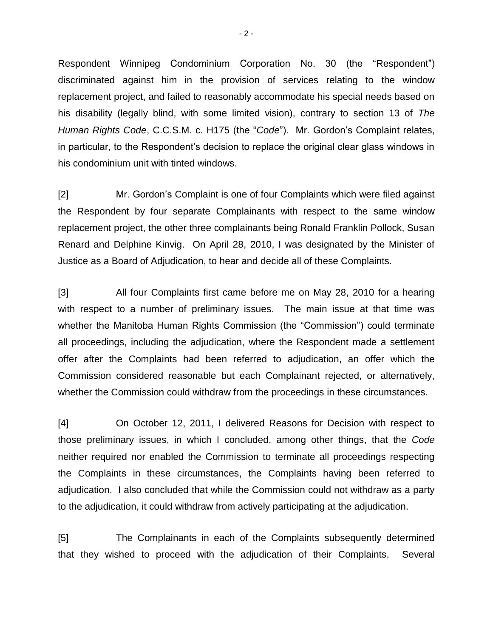Respondent Winnipeg Condominium Corporation No. 30 (the "Respondent") discriminated against him in the provision of services relating to the window replacement project, and failed to reasonably accommodate his special needs based on his disability (legally blind, with some limited vision), contrary to section 13 of *The Human Rights Code*, C.C.S.M. c. H175 (the "*Code*"). Mr. Gordon's Complaint relates, in particular, to the Respondent's decision to replace the original clear glass windows in his condominium unit with tinted windows.

[2] Mr. Gordon's Complaint is one of four Complaints which were filed against the Respondent by four separate Complainants with respect to the same window replacement project, the other three complainants being Ronald Franklin Pollock, Susan Renard and Delphine Kinvig. On April 28, 2010, I was designated by the Minister of Justice as a Board of Adjudication, to hear and decide all of these Complaints.

[3] All four Complaints first came before me on May 28, 2010 for a hearing with respect to a number of preliminary issues. The main issue at that time was whether the Manitoba Human Rights Commission (the "Commission") could terminate all proceedings, including the adjudication, where the Respondent made a settlement offer after the Complaints had been referred to adjudication, an offer which the Commission considered reasonable but each Complainant rejected, or alternatively, whether the Commission could withdraw from the proceedings in these circumstances.

[4] On October 12, 2011, I delivered Reasons for Decision with respect to those preliminary issues, in which I concluded, among other things, that the *Code* neither required nor enabled the Commission to terminate all proceedings respecting the Complaints in these circumstances, the Complaints having been referred to adjudication. I also concluded that while the Commission could not withdraw as a party to the adjudication, it could withdraw from actively participating at the adjudication.

[5] The Complainants in each of the Complaints subsequently determined that they wished to proceed with the adjudication of their Complaints. Several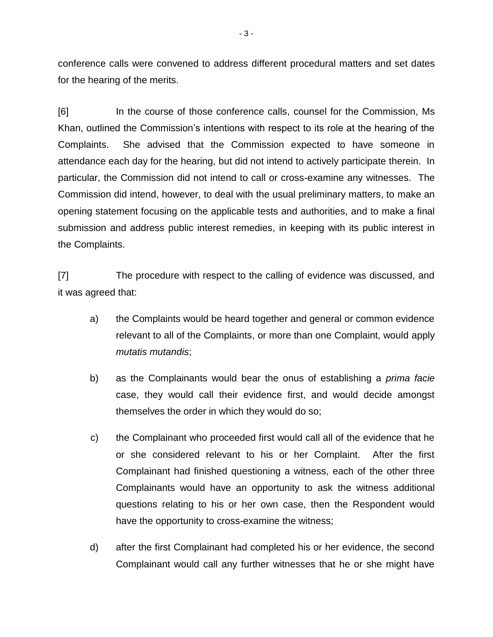conference calls were convened to address different procedural matters and set dates for the hearing of the merits.

[6] In the course of those conference calls, counsel for the Commission, Ms Khan, outlined the Commission's intentions with respect to its role at the hearing of the Complaints. She advised that the Commission expected to have someone in attendance each day for the hearing, but did not intend to actively participate therein. In particular, the Commission did not intend to call or cross-examine any witnesses. The Commission did intend, however, to deal with the usual preliminary matters, to make an opening statement focusing on the applicable tests and authorities, and to make a final submission and address public interest remedies, in keeping with its public interest in the Complaints.

[7] The procedure with respect to the calling of evidence was discussed, and it was agreed that:

- a) the Complaints would be heard together and general or common evidence relevant to all of the Complaints, or more than one Complaint, would apply *mutatis mutandis*;
- b) as the Complainants would bear the onus of establishing a *prima facie* case, they would call their evidence first, and would decide amongst themselves the order in which they would do so;
- c) the Complainant who proceeded first would call all of the evidence that he or she considered relevant to his or her Complaint. After the first Complainant had finished questioning a witness, each of the other three Complainants would have an opportunity to ask the witness additional questions relating to his or her own case, then the Respondent would have the opportunity to cross-examine the witness;
- d) after the first Complainant had completed his or her evidence, the second Complainant would call any further witnesses that he or she might have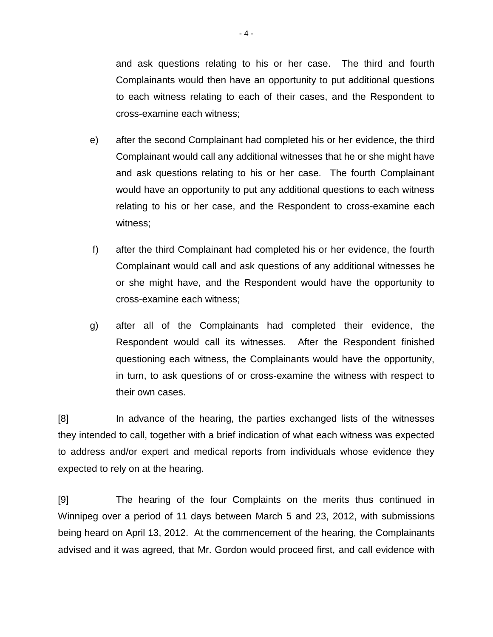and ask questions relating to his or her case. The third and fourth Complainants would then have an opportunity to put additional questions to each witness relating to each of their cases, and the Respondent to cross-examine each witness;

- e) after the second Complainant had completed his or her evidence, the third Complainant would call any additional witnesses that he or she might have and ask questions relating to his or her case. The fourth Complainant would have an opportunity to put any additional questions to each witness relating to his or her case, and the Respondent to cross-examine each witness;
- f) after the third Complainant had completed his or her evidence, the fourth Complainant would call and ask questions of any additional witnesses he or she might have, and the Respondent would have the opportunity to cross-examine each witness;
- g) after all of the Complainants had completed their evidence, the Respondent would call its witnesses. After the Respondent finished questioning each witness, the Complainants would have the opportunity, in turn, to ask questions of or cross-examine the witness with respect to their own cases.

[8] In advance of the hearing, the parties exchanged lists of the witnesses they intended to call, together with a brief indication of what each witness was expected to address and/or expert and medical reports from individuals whose evidence they expected to rely on at the hearing.

[9] The hearing of the four Complaints on the merits thus continued in Winnipeg over a period of 11 days between March 5 and 23, 2012, with submissions being heard on April 13, 2012. At the commencement of the hearing, the Complainants advised and it was agreed, that Mr. Gordon would proceed first, and call evidence with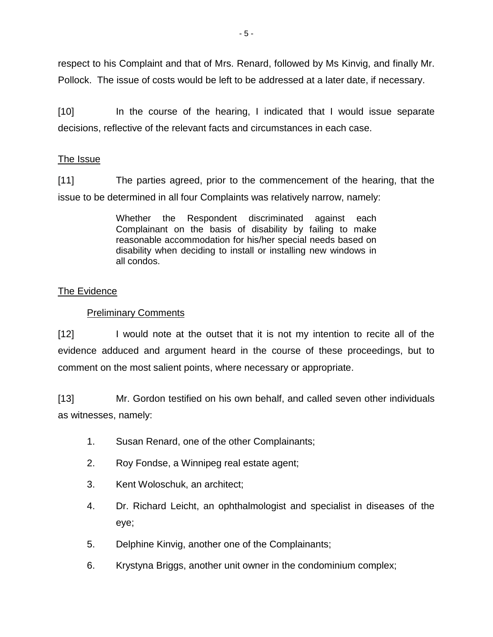respect to his Complaint and that of Mrs. Renard, followed by Ms Kinvig, and finally Mr. Pollock. The issue of costs would be left to be addressed at a later date, if necessary.

[10] In the course of the hearing, I indicated that I would issue separate decisions, reflective of the relevant facts and circumstances in each case.

# The Issue

[11] The parties agreed, prior to the commencement of the hearing, that the issue to be determined in all four Complaints was relatively narrow, namely:

> Whether the Respondent discriminated against each Complainant on the basis of disability by failing to make reasonable accommodation for his/her special needs based on disability when deciding to install or installing new windows in all condos.

# The Evidence

## Preliminary Comments

[12] I would note at the outset that it is not my intention to recite all of the evidence adduced and argument heard in the course of these proceedings, but to comment on the most salient points, where necessary or appropriate.

[13] Mr. Gordon testified on his own behalf, and called seven other individuals as witnesses, namely:

- 1. Susan Renard, one of the other Complainants;
- 2. Roy Fondse, a Winnipeg real estate agent;
- 3. Kent Woloschuk, an architect;
- 4. Dr. Richard Leicht, an ophthalmologist and specialist in diseases of the eye;
- 5. Delphine Kinvig, another one of the Complainants;
- 6. Krystyna Briggs, another unit owner in the condominium complex;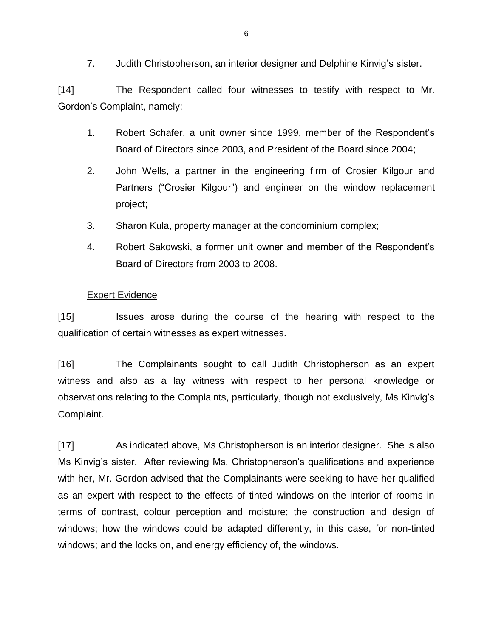7. Judith Christopherson, an interior designer and Delphine Kinvig's sister.

[14] The Respondent called four witnesses to testify with respect to Mr. Gordon's Complaint, namely:

- 1. Robert Schafer, a unit owner since 1999, member of the Respondent's Board of Directors since 2003, and President of the Board since 2004;
- 2. John Wells, a partner in the engineering firm of Crosier Kilgour and Partners ("Crosier Kilgour") and engineer on the window replacement project;
- 3. Sharon Kula, property manager at the condominium complex;
- 4. Robert Sakowski, a former unit owner and member of the Respondent's Board of Directors from 2003 to 2008.

### Expert Evidence

[15] Issues arose during the course of the hearing with respect to the qualification of certain witnesses as expert witnesses.

[16] The Complainants sought to call Judith Christopherson as an expert witness and also as a lay witness with respect to her personal knowledge or observations relating to the Complaints, particularly, though not exclusively, Ms Kinvig's Complaint.

[17] As indicated above, Ms Christopherson is an interior designer. She is also Ms Kinvig's sister. After reviewing Ms. Christopherson's qualifications and experience with her, Mr. Gordon advised that the Complainants were seeking to have her qualified as an expert with respect to the effects of tinted windows on the interior of rooms in terms of contrast, colour perception and moisture; the construction and design of windows; how the windows could be adapted differently, in this case, for non-tinted windows; and the locks on, and energy efficiency of, the windows.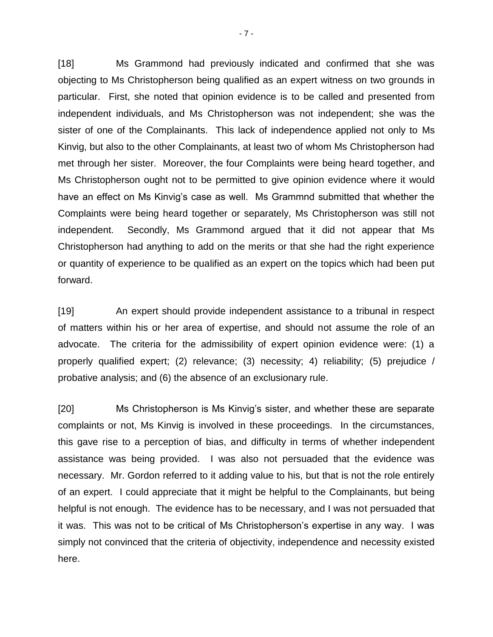[18] Ms Grammond had previously indicated and confirmed that she was objecting to Ms Christopherson being qualified as an expert witness on two grounds in particular. First, she noted that opinion evidence is to be called and presented from independent individuals, and Ms Christopherson was not independent; she was the sister of one of the Complainants. This lack of independence applied not only to Ms Kinvig, but also to the other Complainants, at least two of whom Ms Christopherson had met through her sister. Moreover, the four Complaints were being heard together, and Ms Christopherson ought not to be permitted to give opinion evidence where it would have an effect on Ms Kinvig's case as well. Ms Grammnd submitted that whether the Complaints were being heard together or separately, Ms Christopherson was still not independent. Secondly, Ms Grammond argued that it did not appear that Ms Christopherson had anything to add on the merits or that she had the right experience or quantity of experience to be qualified as an expert on the topics which had been put forward.

[19] An expert should provide independent assistance to a tribunal in respect of matters within his or her area of expertise, and should not assume the role of an advocate. The criteria for the admissibility of expert opinion evidence were: (1) a properly qualified expert; (2) relevance; (3) necessity; 4) reliability; (5) prejudice / probative analysis; and (6) the absence of an exclusionary rule.

[20] Ms Christopherson is Ms Kinvig's sister, and whether these are separate complaints or not, Ms Kinvig is involved in these proceedings. In the circumstances, this gave rise to a perception of bias, and difficulty in terms of whether independent assistance was being provided. I was also not persuaded that the evidence was necessary. Mr. Gordon referred to it adding value to his, but that is not the role entirely of an expert. I could appreciate that it might be helpful to the Complainants, but being helpful is not enough. The evidence has to be necessary, and I was not persuaded that it was. This was not to be critical of Ms Christopherson's expertise in any way. I was simply not convinced that the criteria of objectivity, independence and necessity existed here.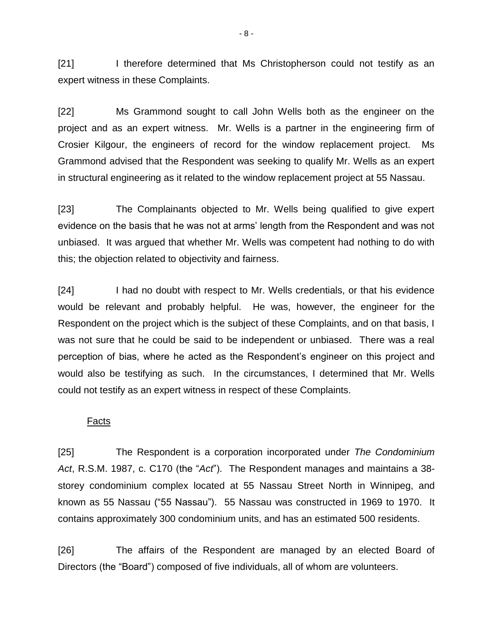[21] I therefore determined that Ms Christopherson could not testify as an expert witness in these Complaints.

[22] Ms Grammond sought to call John Wells both as the engineer on the project and as an expert witness. Mr. Wells is a partner in the engineering firm of Crosier Kilgour, the engineers of record for the window replacement project. Ms Grammond advised that the Respondent was seeking to qualify Mr. Wells as an expert in structural engineering as it related to the window replacement project at 55 Nassau.

[23] The Complainants objected to Mr. Wells being qualified to give expert evidence on the basis that he was not at arms' length from the Respondent and was not unbiased. It was argued that whether Mr. Wells was competent had nothing to do with this; the objection related to objectivity and fairness.

[24] I had no doubt with respect to Mr. Wells credentials, or that his evidence would be relevant and probably helpful. He was, however, the engineer for the Respondent on the project which is the subject of these Complaints, and on that basis, I was not sure that he could be said to be independent or unbiased. There was a real perception of bias, where he acted as the Respondent's engineer on this project and would also be testifying as such. In the circumstances, I determined that Mr. Wells could not testify as an expert witness in respect of these Complaints.

#### Facts

[25] The Respondent is a corporation incorporated under *The Condominium Act*, R.S.M. 1987, c. C170 (the "*Act*"). The Respondent manages and maintains a 38 storey condominium complex located at 55 Nassau Street North in Winnipeg, and known as 55 Nassau ("55 Nassau"). 55 Nassau was constructed in 1969 to 1970. It contains approximately 300 condominium units, and has an estimated 500 residents.

[26] The affairs of the Respondent are managed by an elected Board of Directors (the "Board") composed of five individuals, all of whom are volunteers.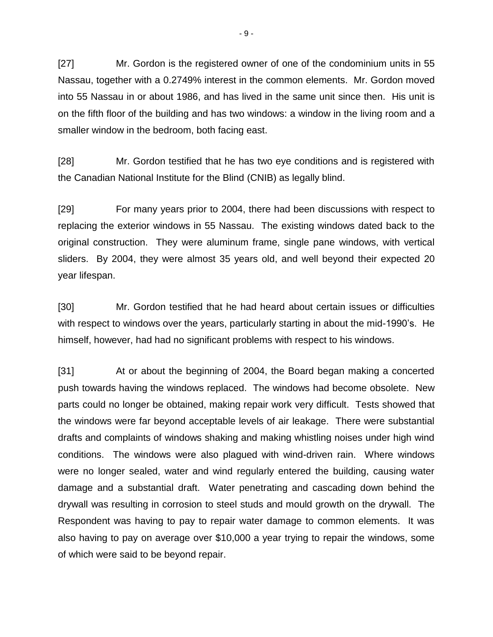[27] Mr. Gordon is the registered owner of one of the condominium units in 55 Nassau, together with a 0.2749% interest in the common elements. Mr. Gordon moved into 55 Nassau in or about 1986, and has lived in the same unit since then. His unit is on the fifth floor of the building and has two windows: a window in the living room and a smaller window in the bedroom, both facing east.

[28] Mr. Gordon testified that he has two eye conditions and is registered with the Canadian National Institute for the Blind (CNIB) as legally blind.

[29] For many years prior to 2004, there had been discussions with respect to replacing the exterior windows in 55 Nassau. The existing windows dated back to the original construction. They were aluminum frame, single pane windows, with vertical sliders. By 2004, they were almost 35 years old, and well beyond their expected 20 year lifespan.

[30] Mr. Gordon testified that he had heard about certain issues or difficulties with respect to windows over the years, particularly starting in about the mid-1990's. He himself, however, had had no significant problems with respect to his windows.

[31] At or about the beginning of 2004, the Board began making a concerted push towards having the windows replaced. The windows had become obsolete. New parts could no longer be obtained, making repair work very difficult. Tests showed that the windows were far beyond acceptable levels of air leakage. There were substantial drafts and complaints of windows shaking and making whistling noises under high wind conditions. The windows were also plagued with wind-driven rain. Where windows were no longer sealed, water and wind regularly entered the building, causing water damage and a substantial draft. Water penetrating and cascading down behind the drywall was resulting in corrosion to steel studs and mould growth on the drywall. The Respondent was having to pay to repair water damage to common elements. It was also having to pay on average over \$10,000 a year trying to repair the windows, some of which were said to be beyond repair.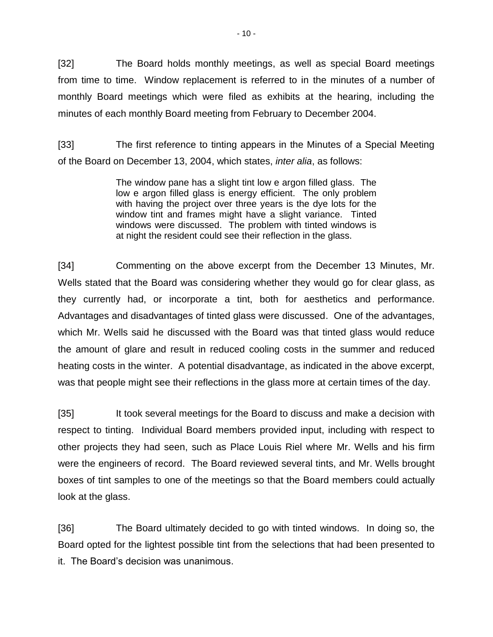[32] The Board holds monthly meetings, as well as special Board meetings from time to time. Window replacement is referred to in the minutes of a number of monthly Board meetings which were filed as exhibits at the hearing, including the minutes of each monthly Board meeting from February to December 2004.

[33] The first reference to tinting appears in the Minutes of a Special Meeting of the Board on December 13, 2004, which states, *inter alia*, as follows:

> The window pane has a slight tint low e argon filled glass. The low e argon filled glass is energy efficient. The only problem with having the project over three years is the dye lots for the window tint and frames might have a slight variance. Tinted windows were discussed. The problem with tinted windows is at night the resident could see their reflection in the glass.

[34] Commenting on the above excerpt from the December 13 Minutes, Mr. Wells stated that the Board was considering whether they would go for clear glass, as they currently had, or incorporate a tint, both for aesthetics and performance. Advantages and disadvantages of tinted glass were discussed. One of the advantages, which Mr. Wells said he discussed with the Board was that tinted glass would reduce the amount of glare and result in reduced cooling costs in the summer and reduced heating costs in the winter. A potential disadvantage, as indicated in the above excerpt, was that people might see their reflections in the glass more at certain times of the day.

[35] It took several meetings for the Board to discuss and make a decision with respect to tinting. Individual Board members provided input, including with respect to other projects they had seen, such as Place Louis Riel where Mr. Wells and his firm were the engineers of record. The Board reviewed several tints, and Mr. Wells brought boxes of tint samples to one of the meetings so that the Board members could actually look at the glass.

[36] The Board ultimately decided to go with tinted windows. In doing so, the Board opted for the lightest possible tint from the selections that had been presented to it. The Board's decision was unanimous.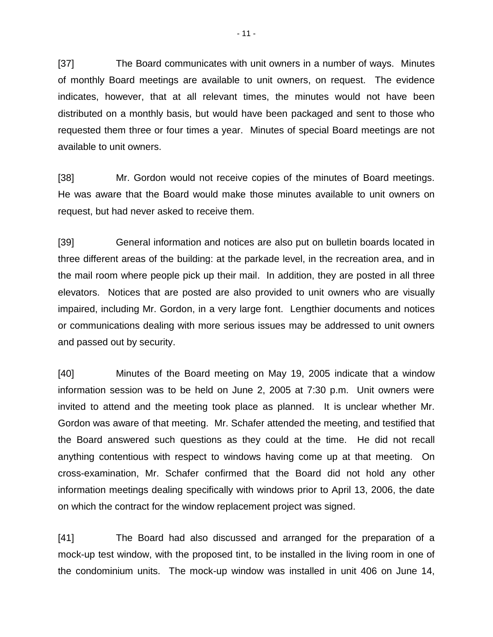[37] The Board communicates with unit owners in a number of ways. Minutes of monthly Board meetings are available to unit owners, on request. The evidence indicates, however, that at all relevant times, the minutes would not have been distributed on a monthly basis, but would have been packaged and sent to those who requested them three or four times a year. Minutes of special Board meetings are not available to unit owners.

[38] Mr. Gordon would not receive copies of the minutes of Board meetings. He was aware that the Board would make those minutes available to unit owners on request, but had never asked to receive them.

[39] General information and notices are also put on bulletin boards located in three different areas of the building: at the parkade level, in the recreation area, and in the mail room where people pick up their mail. In addition, they are posted in all three elevators. Notices that are posted are also provided to unit owners who are visually impaired, including Mr. Gordon, in a very large font. Lengthier documents and notices or communications dealing with more serious issues may be addressed to unit owners and passed out by security.

[40] Minutes of the Board meeting on May 19, 2005 indicate that a window information session was to be held on June 2, 2005 at 7:30 p.m. Unit owners were invited to attend and the meeting took place as planned. It is unclear whether Mr. Gordon was aware of that meeting. Mr. Schafer attended the meeting, and testified that the Board answered such questions as they could at the time. He did not recall anything contentious with respect to windows having come up at that meeting. On cross-examination, Mr. Schafer confirmed that the Board did not hold any other information meetings dealing specifically with windows prior to April 13, 2006, the date on which the contract for the window replacement project was signed.

[41] The Board had also discussed and arranged for the preparation of a mock-up test window, with the proposed tint, to be installed in the living room in one of the condominium units. The mock-up window was installed in unit 406 on June 14,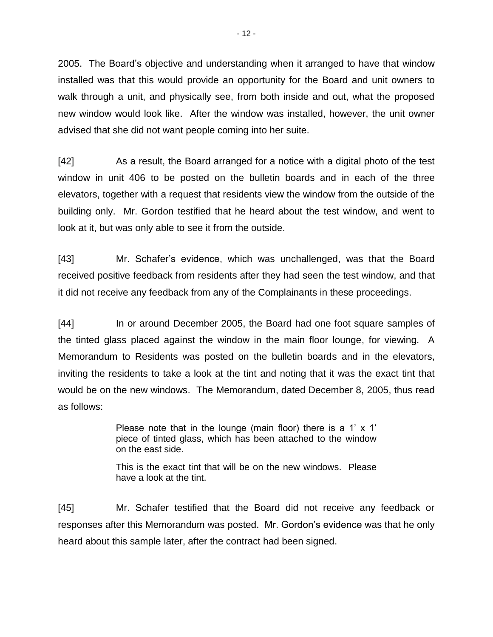2005. The Board's objective and understanding when it arranged to have that window installed was that this would provide an opportunity for the Board and unit owners to walk through a unit, and physically see, from both inside and out, what the proposed new window would look like. After the window was installed, however, the unit owner advised that she did not want people coming into her suite.

[42] As a result, the Board arranged for a notice with a digital photo of the test window in unit 406 to be posted on the bulletin boards and in each of the three elevators, together with a request that residents view the window from the outside of the building only. Mr. Gordon testified that he heard about the test window, and went to look at it, but was only able to see it from the outside.

[43] Mr. Schafer's evidence, which was unchallenged, was that the Board received positive feedback from residents after they had seen the test window, and that it did not receive any feedback from any of the Complainants in these proceedings.

[44] In or around December 2005, the Board had one foot square samples of the tinted glass placed against the window in the main floor lounge, for viewing. A Memorandum to Residents was posted on the bulletin boards and in the elevators, inviting the residents to take a look at the tint and noting that it was the exact tint that would be on the new windows. The Memorandum, dated December 8, 2005, thus read as follows:

> Please note that in the lounge (main floor) there is a 1'  $\times$  1' piece of tinted glass, which has been attached to the window on the east side.

> This is the exact tint that will be on the new windows. Please have a look at the tint.

[45] Mr. Schafer testified that the Board did not receive any feedback or responses after this Memorandum was posted. Mr. Gordon's evidence was that he only heard about this sample later, after the contract had been signed.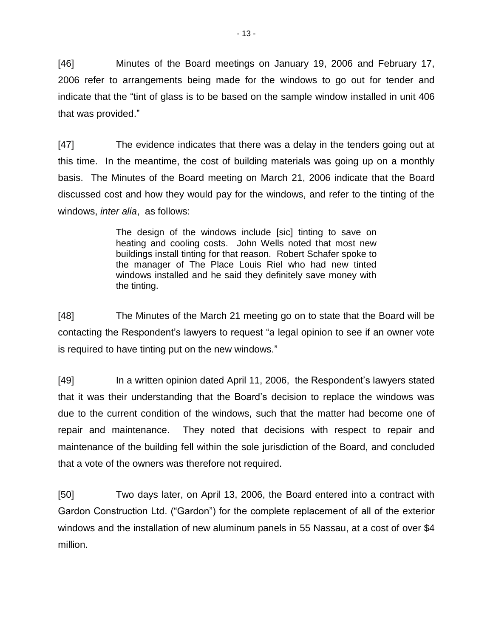[46] Minutes of the Board meetings on January 19, 2006 and February 17, 2006 refer to arrangements being made for the windows to go out for tender and indicate that the "tint of glass is to be based on the sample window installed in unit 406 that was provided."

[47] The evidence indicates that there was a delay in the tenders going out at this time. In the meantime, the cost of building materials was going up on a monthly basis. The Minutes of the Board meeting on March 21, 2006 indicate that the Board discussed cost and how they would pay for the windows, and refer to the tinting of the windows, *inter alia*, as follows:

> The design of the windows include [sic] tinting to save on heating and cooling costs. John Wells noted that most new buildings install tinting for that reason. Robert Schafer spoke to the manager of The Place Louis Riel who had new tinted windows installed and he said they definitely save money with the tinting.

[48] The Minutes of the March 21 meeting go on to state that the Board will be contacting the Respondent's lawyers to request "a legal opinion to see if an owner vote is required to have tinting put on the new windows."

[49] In a written opinion dated April 11, 2006, the Respondent's lawyers stated that it was their understanding that the Board's decision to replace the windows was due to the current condition of the windows, such that the matter had become one of repair and maintenance. They noted that decisions with respect to repair and maintenance of the building fell within the sole jurisdiction of the Board, and concluded that a vote of the owners was therefore not required.

[50] Two days later, on April 13, 2006, the Board entered into a contract with Gardon Construction Ltd. ("Gardon") for the complete replacement of all of the exterior windows and the installation of new aluminum panels in 55 Nassau, at a cost of over \$4 million.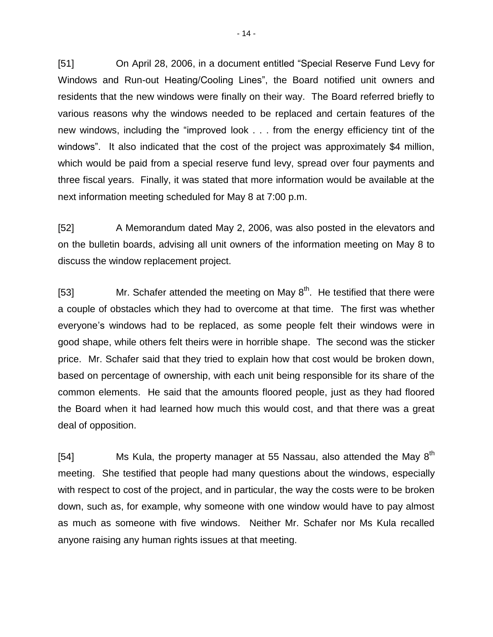[51] On April 28, 2006, in a document entitled "Special Reserve Fund Levy for Windows and Run-out Heating/Cooling Lines", the Board notified unit owners and residents that the new windows were finally on their way. The Board referred briefly to various reasons why the windows needed to be replaced and certain features of the new windows, including the "improved look . . . from the energy efficiency tint of the windows". It also indicated that the cost of the project was approximately \$4 million, which would be paid from a special reserve fund levy, spread over four payments and three fiscal years. Finally, it was stated that more information would be available at the next information meeting scheduled for May 8 at 7:00 p.m.

[52] A Memorandum dated May 2, 2006, was also posted in the elevators and on the bulletin boards, advising all unit owners of the information meeting on May 8 to discuss the window replacement project.

[53] Mr. Schafer attended the meeting on May  $8<sup>th</sup>$ . He testified that there were a couple of obstacles which they had to overcome at that time. The first was whether everyone's windows had to be replaced, as some people felt their windows were in good shape, while others felt theirs were in horrible shape. The second was the sticker price. Mr. Schafer said that they tried to explain how that cost would be broken down, based on percentage of ownership, with each unit being responsible for its share of the common elements. He said that the amounts floored people, just as they had floored the Board when it had learned how much this would cost, and that there was a great deal of opposition.

[54] Ms Kula, the property manager at 55 Nassau, also attended the May  $8<sup>th</sup>$ meeting. She testified that people had many questions about the windows, especially with respect to cost of the project, and in particular, the way the costs were to be broken down, such as, for example, why someone with one window would have to pay almost as much as someone with five windows. Neither Mr. Schafer nor Ms Kula recalled anyone raising any human rights issues at that meeting.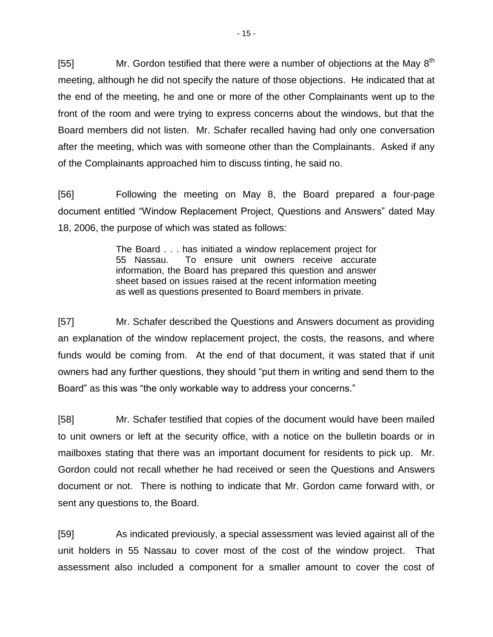[55] Mr. Gordon testified that there were a number of objections at the May  $8^{th}$ meeting, although he did not specify the nature of those objections. He indicated that at the end of the meeting, he and one or more of the other Complainants went up to the front of the room and were trying to express concerns about the windows, but that the Board members did not listen. Mr. Schafer recalled having had only one conversation after the meeting, which was with someone other than the Complainants. Asked if any of the Complainants approached him to discuss tinting, he said no.

[56] Following the meeting on May 8, the Board prepared a four-page document entitled "Window Replacement Project, Questions and Answers" dated May 18, 2006, the purpose of which was stated as follows:

> The Board . . . has initiated a window replacement project for 55 Nassau. To ensure unit owners receive accurate information, the Board has prepared this question and answer sheet based on issues raised at the recent information meeting as well as questions presented to Board members in private.

[57] Mr. Schafer described the Questions and Answers document as providing an explanation of the window replacement project, the costs, the reasons, and where funds would be coming from. At the end of that document, it was stated that if unit owners had any further questions, they should "put them in writing and send them to the Board" as this was "the only workable way to address your concerns."

[58] Mr. Schafer testified that copies of the document would have been mailed to unit owners or left at the security office, with a notice on the bulletin boards or in mailboxes stating that there was an important document for residents to pick up. Mr. Gordon could not recall whether he had received or seen the Questions and Answers document or not. There is nothing to indicate that Mr. Gordon came forward with, or sent any questions to, the Board.

[59] As indicated previously, a special assessment was levied against all of the unit holders in 55 Nassau to cover most of the cost of the window project. That assessment also included a component for a smaller amount to cover the cost of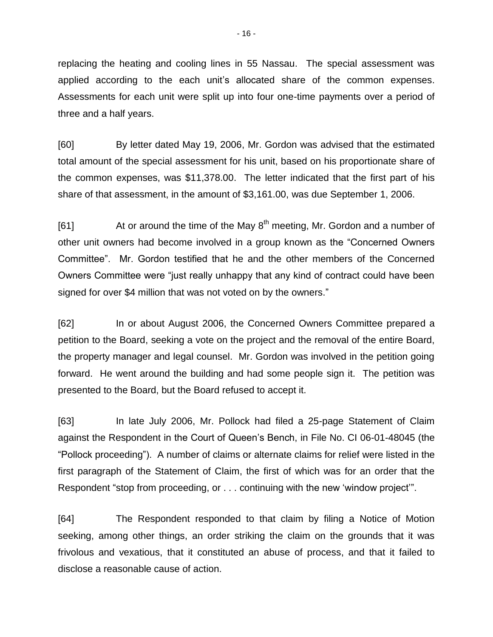replacing the heating and cooling lines in 55 Nassau. The special assessment was applied according to the each unit's allocated share of the common expenses. Assessments for each unit were split up into four one-time payments over a period of three and a half years.

[60] By letter dated May 19, 2006, Mr. Gordon was advised that the estimated total amount of the special assessment for his unit, based on his proportionate share of the common expenses, was \$11,378.00. The letter indicated that the first part of his share of that assessment, in the amount of \$3,161.00, was due September 1, 2006.

[61] At or around the time of the May  $8<sup>th</sup>$  meeting, Mr. Gordon and a number of other unit owners had become involved in a group known as the "Concerned Owners Committee". Mr. Gordon testified that he and the other members of the Concerned Owners Committee were "just really unhappy that any kind of contract could have been signed for over \$4 million that was not voted on by the owners."

[62] In or about August 2006, the Concerned Owners Committee prepared a petition to the Board, seeking a vote on the project and the removal of the entire Board, the property manager and legal counsel. Mr. Gordon was involved in the petition going forward. He went around the building and had some people sign it. The petition was presented to the Board, but the Board refused to accept it.

[63] In late July 2006, Mr. Pollock had filed a 25-page Statement of Claim against the Respondent in the Court of Queen's Bench, in File No. CI 06-01-48045 (the "Pollock proceeding"). A number of claims or alternate claims for relief were listed in the first paragraph of the Statement of Claim, the first of which was for an order that the Respondent "stop from proceeding, or . . . continuing with the new 'window project'".

[64] The Respondent responded to that claim by filing a Notice of Motion seeking, among other things, an order striking the claim on the grounds that it was frivolous and vexatious, that it constituted an abuse of process, and that it failed to disclose a reasonable cause of action.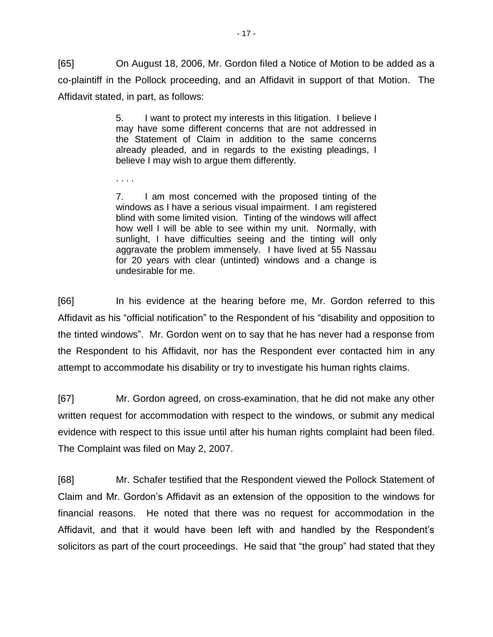[65] On August 18, 2006, Mr. Gordon filed a Notice of Motion to be added as a co-plaintiff in the Pollock proceeding, and an Affidavit in support of that Motion. The Affidavit stated, in part, as follows:

> 5. I want to protect my interests in this litigation. I believe I may have some different concerns that are not addressed in the Statement of Claim in addition to the same concerns already pleaded, and in regards to the existing pleadings, I believe I may wish to argue them differently.

. . . .

7. I am most concerned with the proposed tinting of the windows as I have a serious visual impairment. I am registered blind with some limited vision. Tinting of the windows will affect how well I will be able to see within my unit. Normally, with sunlight, I have difficulties seeing and the tinting will only aggravate the problem immensely. I have lived at 55 Nassau for 20 years with clear (untinted) windows and a change is undesirable for me.

[66] In his evidence at the hearing before me, Mr. Gordon referred to this Affidavit as his "official notification" to the Respondent of his "disability and opposition to the tinted windows". Mr. Gordon went on to say that he has never had a response from the Respondent to his Affidavit, nor has the Respondent ever contacted him in any attempt to accommodate his disability or try to investigate his human rights claims.

[67] Mr. Gordon agreed, on cross-examination, that he did not make any other written request for accommodation with respect to the windows, or submit any medical evidence with respect to this issue until after his human rights complaint had been filed. The Complaint was filed on May 2, 2007.

[68] Mr. Schafer testified that the Respondent viewed the Pollock Statement of Claim and Mr. Gordon's Affidavit as an extension of the opposition to the windows for financial reasons. He noted that there was no request for accommodation in the Affidavit, and that it would have been left with and handled by the Respondent's solicitors as part of the court proceedings. He said that "the group" had stated that they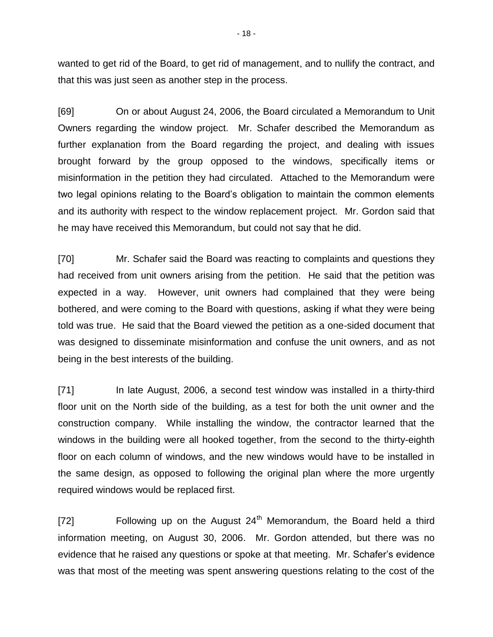wanted to get rid of the Board, to get rid of management, and to nullify the contract, and that this was just seen as another step in the process.

[69] On or about August 24, 2006, the Board circulated a Memorandum to Unit Owners regarding the window project. Mr. Schafer described the Memorandum as further explanation from the Board regarding the project, and dealing with issues brought forward by the group opposed to the windows, specifically items or misinformation in the petition they had circulated. Attached to the Memorandum were two legal opinions relating to the Board's obligation to maintain the common elements and its authority with respect to the window replacement project. Mr. Gordon said that he may have received this Memorandum, but could not say that he did.

[70] Mr. Schafer said the Board was reacting to complaints and questions they had received from unit owners arising from the petition. He said that the petition was expected in a way. However, unit owners had complained that they were being bothered, and were coming to the Board with questions, asking if what they were being told was true. He said that the Board viewed the petition as a one-sided document that was designed to disseminate misinformation and confuse the unit owners, and as not being in the best interests of the building.

[71] In late August, 2006, a second test window was installed in a thirty-third floor unit on the North side of the building, as a test for both the unit owner and the construction company. While installing the window, the contractor learned that the windows in the building were all hooked together, from the second to the thirty-eighth floor on each column of windows, and the new windows would have to be installed in the same design, as opposed to following the original plan where the more urgently required windows would be replaced first.

[72] Following up on the August  $24<sup>th</sup>$  Memorandum, the Board held a third information meeting, on August 30, 2006. Mr. Gordon attended, but there was no evidence that he raised any questions or spoke at that meeting. Mr. Schafer's evidence was that most of the meeting was spent answering questions relating to the cost of the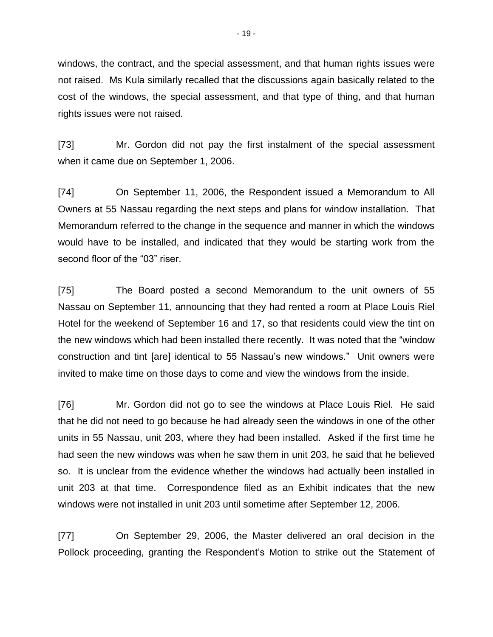windows, the contract, and the special assessment, and that human rights issues were not raised. Ms Kula similarly recalled that the discussions again basically related to the cost of the windows, the special assessment, and that type of thing, and that human rights issues were not raised.

[73] Mr. Gordon did not pay the first instalment of the special assessment when it came due on September 1, 2006.

[74] On September 11, 2006, the Respondent issued a Memorandum to All Owners at 55 Nassau regarding the next steps and plans for window installation. That Memorandum referred to the change in the sequence and manner in which the windows would have to be installed, and indicated that they would be starting work from the second floor of the "03" riser.

[75] The Board posted a second Memorandum to the unit owners of 55 Nassau on September 11, announcing that they had rented a room at Place Louis Riel Hotel for the weekend of September 16 and 17, so that residents could view the tint on the new windows which had been installed there recently. It was noted that the "window construction and tint [are] identical to 55 Nassau's new windows." Unit owners were invited to make time on those days to come and view the windows from the inside.

[76] Mr. Gordon did not go to see the windows at Place Louis Riel. He said that he did not need to go because he had already seen the windows in one of the other units in 55 Nassau, unit 203, where they had been installed. Asked if the first time he had seen the new windows was when he saw them in unit 203, he said that he believed so. It is unclear from the evidence whether the windows had actually been installed in unit 203 at that time. Correspondence filed as an Exhibit indicates that the new windows were not installed in unit 203 until sometime after September 12, 2006.

[77] On September 29, 2006, the Master delivered an oral decision in the Pollock proceeding, granting the Respondent's Motion to strike out the Statement of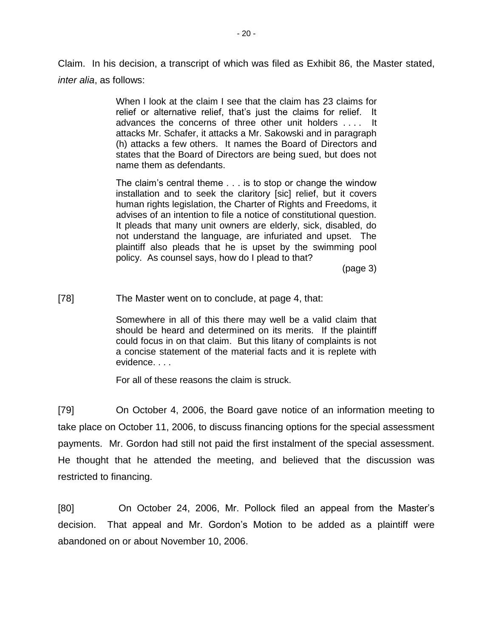Claim. In his decision, a transcript of which was filed as Exhibit 86, the Master stated, *inter alia*, as follows:

> When I look at the claim I see that the claim has 23 claims for relief or alternative relief, that's just the claims for relief. It advances the concerns of three other unit holders . . . . It attacks Mr. Schafer, it attacks a Mr. Sakowski and in paragraph (h) attacks a few others. It names the Board of Directors and states that the Board of Directors are being sued, but does not name them as defendants.

> The claim's central theme . . . is to stop or change the window installation and to seek the claritory [sic] relief, but it covers human rights legislation, the Charter of Rights and Freedoms, it advises of an intention to file a notice of constitutional question. It pleads that many unit owners are elderly, sick, disabled, do not understand the language, are infuriated and upset. The plaintiff also pleads that he is upset by the swimming pool policy. As counsel says, how do I plead to that?

> > (page 3)

[78] The Master went on to conclude, at page 4, that:

Somewhere in all of this there may well be a valid claim that should be heard and determined on its merits. If the plaintiff could focus in on that claim. But this litany of complaints is not a concise statement of the material facts and it is replete with evidence. . . .

For all of these reasons the claim is struck.

[79] On October 4, 2006, the Board gave notice of an information meeting to take place on October 11, 2006, to discuss financing options for the special assessment payments. Mr. Gordon had still not paid the first instalment of the special assessment. He thought that he attended the meeting, and believed that the discussion was restricted to financing.

[80] On October 24, 2006, Mr. Pollock filed an appeal from the Master's decision. That appeal and Mr. Gordon's Motion to be added as a plaintiff were abandoned on or about November 10, 2006.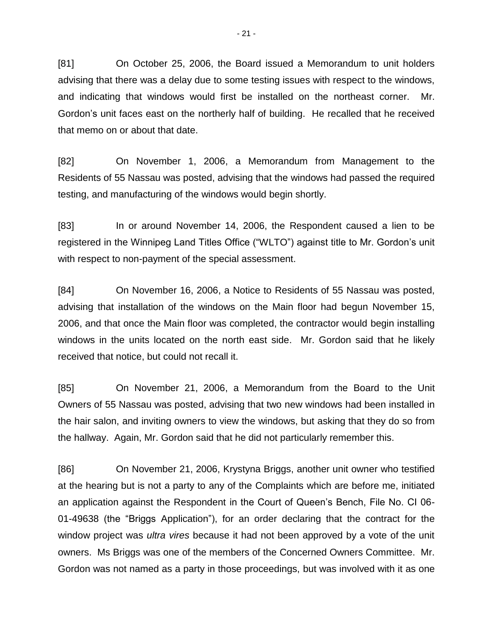[81] On October 25, 2006, the Board issued a Memorandum to unit holders advising that there was a delay due to some testing issues with respect to the windows, and indicating that windows would first be installed on the northeast corner. Mr. Gordon's unit faces east on the northerly half of building. He recalled that he received that memo on or about that date.

[82] On November 1, 2006, a Memorandum from Management to the Residents of 55 Nassau was posted, advising that the windows had passed the required testing, and manufacturing of the windows would begin shortly.

[83] In or around November 14, 2006, the Respondent caused a lien to be registered in the Winnipeg Land Titles Office ("WLTO") against title to Mr. Gordon's unit with respect to non-payment of the special assessment.

[84] On November 16, 2006, a Notice to Residents of 55 Nassau was posted, advising that installation of the windows on the Main floor had begun November 15, 2006, and that once the Main floor was completed, the contractor would begin installing windows in the units located on the north east side. Mr. Gordon said that he likely received that notice, but could not recall it.

[85] On November 21, 2006, a Memorandum from the Board to the Unit Owners of 55 Nassau was posted, advising that two new windows had been installed in the hair salon, and inviting owners to view the windows, but asking that they do so from the hallway. Again, Mr. Gordon said that he did not particularly remember this.

[86] On November 21, 2006, Krystyna Briggs, another unit owner who testified at the hearing but is not a party to any of the Complaints which are before me, initiated an application against the Respondent in the Court of Queen's Bench, File No. CI 06- 01-49638 (the "Briggs Application"), for an order declaring that the contract for the window project was *ultra vires* because it had not been approved by a vote of the unit owners. Ms Briggs was one of the members of the Concerned Owners Committee. Mr. Gordon was not named as a party in those proceedings, but was involved with it as one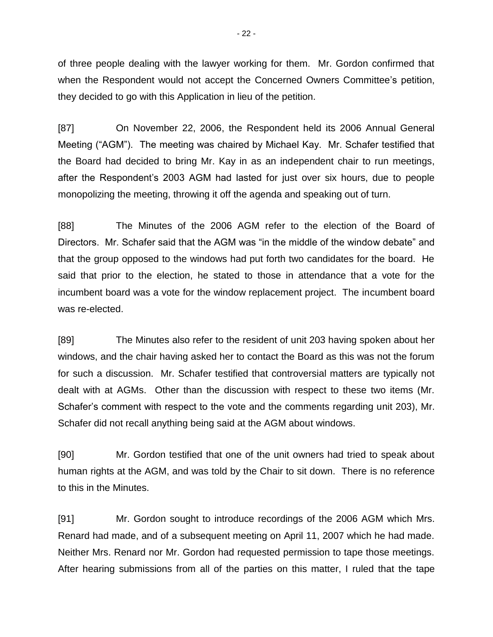of three people dealing with the lawyer working for them. Mr. Gordon confirmed that when the Respondent would not accept the Concerned Owners Committee's petition, they decided to go with this Application in lieu of the petition.

[87] On November 22, 2006, the Respondent held its 2006 Annual General Meeting ("AGM"). The meeting was chaired by Michael Kay. Mr. Schafer testified that the Board had decided to bring Mr. Kay in as an independent chair to run meetings, after the Respondent's 2003 AGM had lasted for just over six hours, due to people monopolizing the meeting, throwing it off the agenda and speaking out of turn.

[88] The Minutes of the 2006 AGM refer to the election of the Board of Directors. Mr. Schafer said that the AGM was "in the middle of the window debate" and that the group opposed to the windows had put forth two candidates for the board. He said that prior to the election, he stated to those in attendance that a vote for the incumbent board was a vote for the window replacement project. The incumbent board was re-elected.

[89] The Minutes also refer to the resident of unit 203 having spoken about her windows, and the chair having asked her to contact the Board as this was not the forum for such a discussion. Mr. Schafer testified that controversial matters are typically not dealt with at AGMs. Other than the discussion with respect to these two items (Mr. Schafer's comment with respect to the vote and the comments regarding unit 203), Mr. Schafer did not recall anything being said at the AGM about windows.

[90] Mr. Gordon testified that one of the unit owners had tried to speak about human rights at the AGM, and was told by the Chair to sit down. There is no reference to this in the Minutes.

[91] Mr. Gordon sought to introduce recordings of the 2006 AGM which Mrs. Renard had made, and of a subsequent meeting on April 11, 2007 which he had made. Neither Mrs. Renard nor Mr. Gordon had requested permission to tape those meetings. After hearing submissions from all of the parties on this matter, I ruled that the tape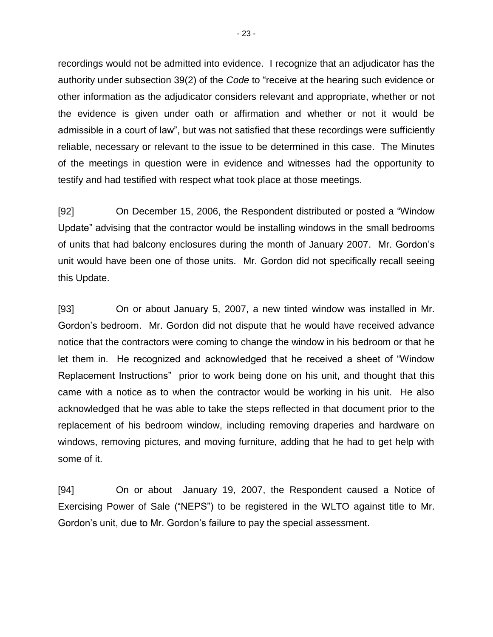recordings would not be admitted into evidence. I recognize that an adjudicator has the authority under subsection 39(2) of the *Code* to "receive at the hearing such evidence or other information as the adjudicator considers relevant and appropriate, whether or not the evidence is given under oath or affirmation and whether or not it would be admissible in a court of law", but was not satisfied that these recordings were sufficiently reliable, necessary or relevant to the issue to be determined in this case. The Minutes of the meetings in question were in evidence and witnesses had the opportunity to testify and had testified with respect what took place at those meetings.

[92] On December 15, 2006, the Respondent distributed or posted a "Window Update" advising that the contractor would be installing windows in the small bedrooms of units that had balcony enclosures during the month of January 2007. Mr. Gordon's unit would have been one of those units. Mr. Gordon did not specifically recall seeing this Update.

[93] On or about January 5, 2007, a new tinted window was installed in Mr. Gordon's bedroom. Mr. Gordon did not dispute that he would have received advance notice that the contractors were coming to change the window in his bedroom or that he let them in. He recognized and acknowledged that he received a sheet of "Window Replacement Instructions" prior to work being done on his unit, and thought that this came with a notice as to when the contractor would be working in his unit. He also acknowledged that he was able to take the steps reflected in that document prior to the replacement of his bedroom window, including removing draperies and hardware on windows, removing pictures, and moving furniture, adding that he had to get help with some of it.

[94] On or about January 19, 2007, the Respondent caused a Notice of Exercising Power of Sale ("NEPS") to be registered in the WLTO against title to Mr. Gordon's unit, due to Mr. Gordon's failure to pay the special assessment.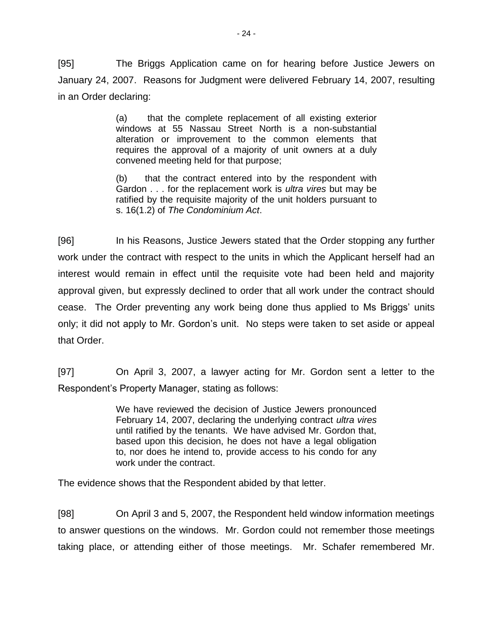[95] The Briggs Application came on for hearing before Justice Jewers on January 24, 2007. Reasons for Judgment were delivered February 14, 2007, resulting in an Order declaring:

> (a) that the complete replacement of all existing exterior windows at 55 Nassau Street North is a non-substantial alteration or improvement to the common elements that requires the approval of a majority of unit owners at a duly convened meeting held for that purpose;

> (b) that the contract entered into by the respondent with Gardon . . . for the replacement work is *ultra vires* but may be ratified by the requisite majority of the unit holders pursuant to s. 16(1.2) of *The Condominium Act*.

[96] In his Reasons, Justice Jewers stated that the Order stopping any further work under the contract with respect to the units in which the Applicant herself had an interest would remain in effect until the requisite vote had been held and majority approval given, but expressly declined to order that all work under the contract should cease. The Order preventing any work being done thus applied to Ms Briggs' units only; it did not apply to Mr. Gordon's unit. No steps were taken to set aside or appeal that Order.

[97] On April 3, 2007, a lawyer acting for Mr. Gordon sent a letter to the Respondent's Property Manager, stating as follows:

> We have reviewed the decision of Justice Jewers pronounced February 14, 2007, declaring the underlying contract *ultra vires* until ratified by the tenants. We have advised Mr. Gordon that, based upon this decision, he does not have a legal obligation to, nor does he intend to, provide access to his condo for any work under the contract.

The evidence shows that the Respondent abided by that letter.

[98] On April 3 and 5, 2007, the Respondent held window information meetings to answer questions on the windows. Mr. Gordon could not remember those meetings taking place, or attending either of those meetings. Mr. Schafer remembered Mr.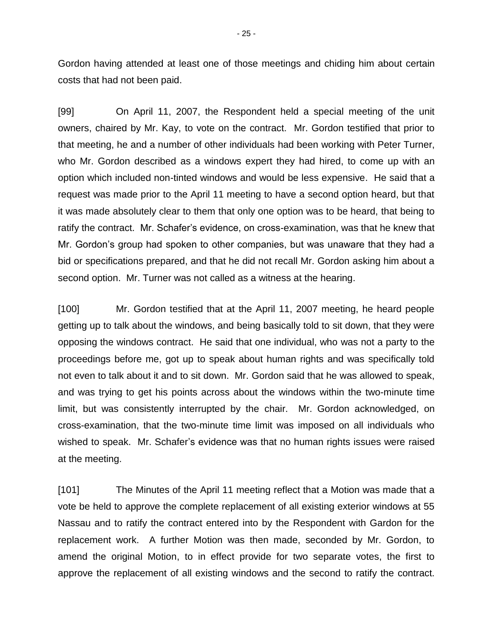Gordon having attended at least one of those meetings and chiding him about certain costs that had not been paid.

[99] On April 11, 2007, the Respondent held a special meeting of the unit owners, chaired by Mr. Kay, to vote on the contract. Mr. Gordon testified that prior to that meeting, he and a number of other individuals had been working with Peter Turner, who Mr. Gordon described as a windows expert they had hired, to come up with an option which included non-tinted windows and would be less expensive. He said that a request was made prior to the April 11 meeting to have a second option heard, but that it was made absolutely clear to them that only one option was to be heard, that being to ratify the contract. Mr. Schafer's evidence, on cross-examination, was that he knew that Mr. Gordon's group had spoken to other companies, but was unaware that they had a bid or specifications prepared, and that he did not recall Mr. Gordon asking him about a second option. Mr. Turner was not called as a witness at the hearing.

[100] Mr. Gordon testified that at the April 11, 2007 meeting, he heard people getting up to talk about the windows, and being basically told to sit down, that they were opposing the windows contract. He said that one individual, who was not a party to the proceedings before me, got up to speak about human rights and was specifically told not even to talk about it and to sit down. Mr. Gordon said that he was allowed to speak, and was trying to get his points across about the windows within the two-minute time limit, but was consistently interrupted by the chair. Mr. Gordon acknowledged, on cross-examination, that the two-minute time limit was imposed on all individuals who wished to speak. Mr. Schafer's evidence was that no human rights issues were raised at the meeting.

[101] The Minutes of the April 11 meeting reflect that a Motion was made that a vote be held to approve the complete replacement of all existing exterior windows at 55 Nassau and to ratify the contract entered into by the Respondent with Gardon for the replacement work. A further Motion was then made, seconded by Mr. Gordon, to amend the original Motion, to in effect provide for two separate votes, the first to approve the replacement of all existing windows and the second to ratify the contract.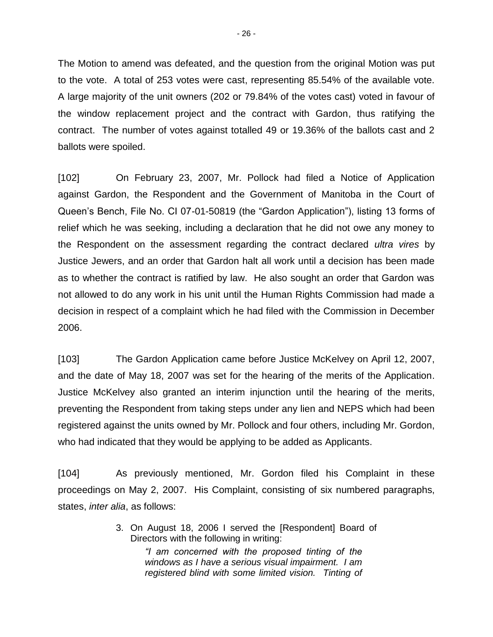The Motion to amend was defeated, and the question from the original Motion was put to the vote. A total of 253 votes were cast, representing 85.54% of the available vote. A large majority of the unit owners (202 or 79.84% of the votes cast) voted in favour of the window replacement project and the contract with Gardon, thus ratifying the contract. The number of votes against totalled 49 or 19.36% of the ballots cast and 2 ballots were spoiled.

[102] On February 23, 2007, Mr. Pollock had filed a Notice of Application against Gardon, the Respondent and the Government of Manitoba in the Court of Queen's Bench, File No. CI 07-01-50819 (the "Gardon Application"), listing 13 forms of relief which he was seeking, including a declaration that he did not owe any money to the Respondent on the assessment regarding the contract declared *ultra vires* by Justice Jewers, and an order that Gardon halt all work until a decision has been made as to whether the contract is ratified by law. He also sought an order that Gardon was not allowed to do any work in his unit until the Human Rights Commission had made a decision in respect of a complaint which he had filed with the Commission in December 2006.

[103] The Gardon Application came before Justice McKelvey on April 12, 2007, and the date of May 18, 2007 was set for the hearing of the merits of the Application. Justice McKelvey also granted an interim injunction until the hearing of the merits, preventing the Respondent from taking steps under any lien and NEPS which had been registered against the units owned by Mr. Pollock and four others, including Mr. Gordon, who had indicated that they would be applying to be added as Applicants.

[104] As previously mentioned, Mr. Gordon filed his Complaint in these proceedings on May 2, 2007. His Complaint, consisting of six numbered paragraphs, states, *inter alia*, as follows:

> 3. On August 18, 2006 I served the [Respondent] Board of Directors with the following in writing:

> > *"I am concerned with the proposed tinting of the windows as I have a serious visual impairment. I am registered blind with some limited vision. Tinting of*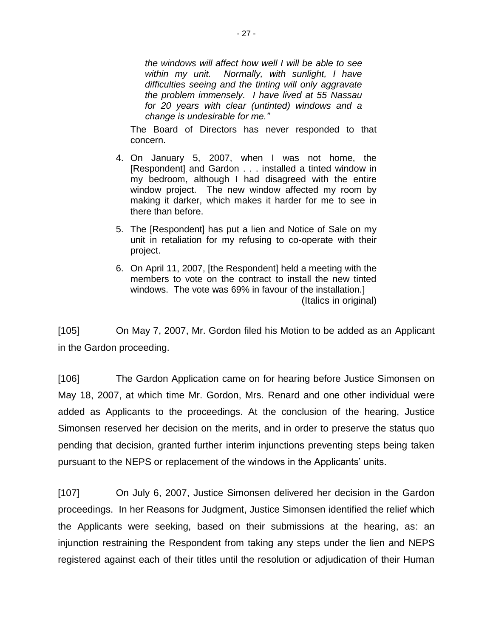*the windows will affect how well I will be able to see within my unit. Normally, with sunlight, I have difficulties seeing and the tinting will only aggravate the problem immensely. I have lived at 55 Nassau for 20 years with clear (untinted) windows and a change is undesirable for me."*

The Board of Directors has never responded to that concern.

- 4. On January 5, 2007, when I was not home, the [Respondent] and Gardon . . . installed a tinted window in my bedroom, although I had disagreed with the entire window project. The new window affected my room by making it darker, which makes it harder for me to see in there than before.
- 5. The [Respondent] has put a lien and Notice of Sale on my unit in retaliation for my refusing to co-operate with their project.
- 6. On April 11, 2007, [the Respondent] held a meeting with the members to vote on the contract to install the new tinted windows. The vote was 69% in favour of the installation.] (Italics in original)

[105] On May 7, 2007, Mr. Gordon filed his Motion to be added as an Applicant in the Gardon proceeding.

[106] The Gardon Application came on for hearing before Justice Simonsen on May 18, 2007, at which time Mr. Gordon, Mrs. Renard and one other individual were added as Applicants to the proceedings. At the conclusion of the hearing, Justice Simonsen reserved her decision on the merits, and in order to preserve the status quo pending that decision, granted further interim injunctions preventing steps being taken pursuant to the NEPS or replacement of the windows in the Applicants' units.

[107] On July 6, 2007, Justice Simonsen delivered her decision in the Gardon proceedings. In her Reasons for Judgment, Justice Simonsen identified the relief which the Applicants were seeking, based on their submissions at the hearing, as: an injunction restraining the Respondent from taking any steps under the lien and NEPS registered against each of their titles until the resolution or adjudication of their Human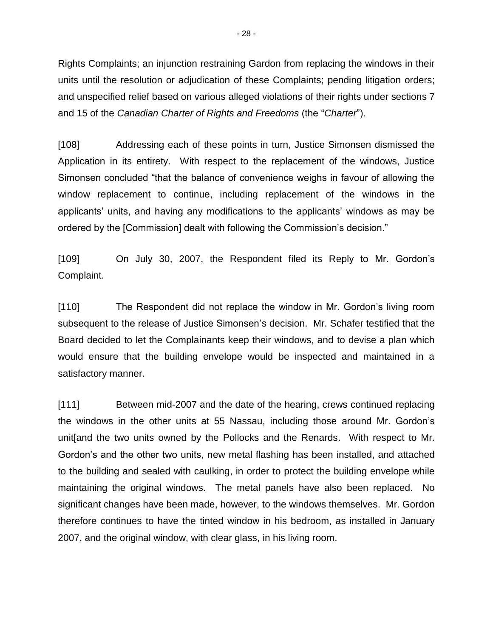Rights Complaints; an injunction restraining Gardon from replacing the windows in their units until the resolution or adjudication of these Complaints; pending litigation orders; and unspecified relief based on various alleged violations of their rights under sections 7 and 15 of the *Canadian Charter of Rights and Freedoms* (the "*Charter*").

[108] Addressing each of these points in turn, Justice Simonsen dismissed the Application in its entirety. With respect to the replacement of the windows, Justice Simonsen concluded "that the balance of convenience weighs in favour of allowing the window replacement to continue, including replacement of the windows in the applicants' units, and having any modifications to the applicants' windows as may be ordered by the [Commission] dealt with following the Commission's decision."

[109] On July 30, 2007, the Respondent filed its Reply to Mr. Gordon's Complaint.

[110] The Respondent did not replace the window in Mr. Gordon's living room subsequent to the release of Justice Simonsen's decision. Mr. Schafer testified that the Board decided to let the Complainants keep their windows, and to devise a plan which would ensure that the building envelope would be inspected and maintained in a satisfactory manner.

[111] Between mid-2007 and the date of the hearing, crews continued replacing the windows in the other units at 55 Nassau, including those around Mr. Gordon's unit[and the two units owned by the Pollocks and the Renards. With respect to Mr. Gordon's and the other two units, new metal flashing has been installed, and attached to the building and sealed with caulking, in order to protect the building envelope while maintaining the original windows. The metal panels have also been replaced. No significant changes have been made, however, to the windows themselves. Mr. Gordon therefore continues to have the tinted window in his bedroom, as installed in January 2007, and the original window, with clear glass, in his living room.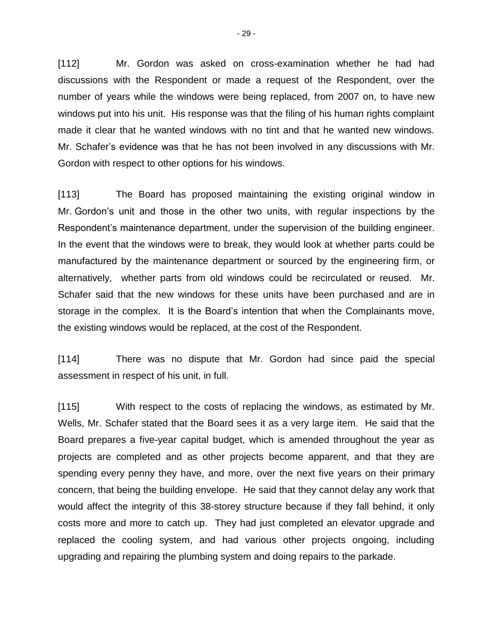[112] Mr. Gordon was asked on cross-examination whether he had had discussions with the Respondent or made a request of the Respondent, over the number of years while the windows were being replaced, from 2007 on, to have new windows put into his unit. His response was that the filing of his human rights complaint made it clear that he wanted windows with no tint and that he wanted new windows. Mr. Schafer's evidence was that he has not been involved in any discussions with Mr. Gordon with respect to other options for his windows.

[113] The Board has proposed maintaining the existing original window in Mr. Gordon's unit and those in the other two units, with regular inspections by the Respondent's maintenance department, under the supervision of the building engineer. In the event that the windows were to break, they would look at whether parts could be manufactured by the maintenance department or sourced by the engineering firm, or alternatively, whether parts from old windows could be recirculated or reused. Mr. Schafer said that the new windows for these units have been purchased and are in storage in the complex. It is the Board's intention that when the Complainants move, the existing windows would be replaced, at the cost of the Respondent.

[114] There was no dispute that Mr. Gordon had since paid the special assessment in respect of his unit, in full.

[115] With respect to the costs of replacing the windows, as estimated by Mr. Wells, Mr. Schafer stated that the Board sees it as a very large item. He said that the Board prepares a five-year capital budget, which is amended throughout the year as projects are completed and as other projects become apparent, and that they are spending every penny they have, and more, over the next five years on their primary concern, that being the building envelope. He said that they cannot delay any work that would affect the integrity of this 38-storey structure because if they fall behind, it only costs more and more to catch up. They had just completed an elevator upgrade and replaced the cooling system, and had various other projects ongoing, including upgrading and repairing the plumbing system and doing repairs to the parkade.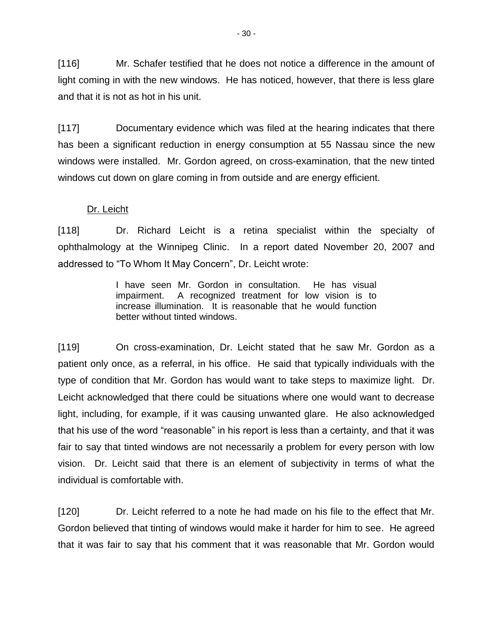[116] Mr. Schafer testified that he does not notice a difference in the amount of light coming in with the new windows. He has noticed, however, that there is less glare and that it is not as hot in his unit.

[117] Documentary evidence which was filed at the hearing indicates that there has been a significant reduction in energy consumption at 55 Nassau since the new windows were installed. Mr. Gordon agreed, on cross-examination, that the new tinted windows cut down on glare coming in from outside and are energy efficient.

# Dr. Leicht

[118] Dr. Richard Leicht is a retina specialist within the specialty of ophthalmology at the Winnipeg Clinic. In a report dated November 20, 2007 and addressed to "To Whom It May Concern", Dr. Leicht wrote:

> I have seen Mr. Gordon in consultation. He has visual impairment. A recognized treatment for low vision is to increase illumination. It is reasonable that he would function better without tinted windows.

[119] On cross-examination, Dr. Leicht stated that he saw Mr. Gordon as a patient only once, as a referral, in his office. He said that typically individuals with the type of condition that Mr. Gordon has would want to take steps to maximize light. Dr. Leicht acknowledged that there could be situations where one would want to decrease light, including, for example, if it was causing unwanted glare. He also acknowledged that his use of the word "reasonable" in his report is less than a certainty, and that it was fair to say that tinted windows are not necessarily a problem for every person with low vision. Dr. Leicht said that there is an element of subjectivity in terms of what the individual is comfortable with.

[120] Dr. Leicht referred to a note he had made on his file to the effect that Mr. Gordon believed that tinting of windows would make it harder for him to see. He agreed that it was fair to say that his comment that it was reasonable that Mr. Gordon would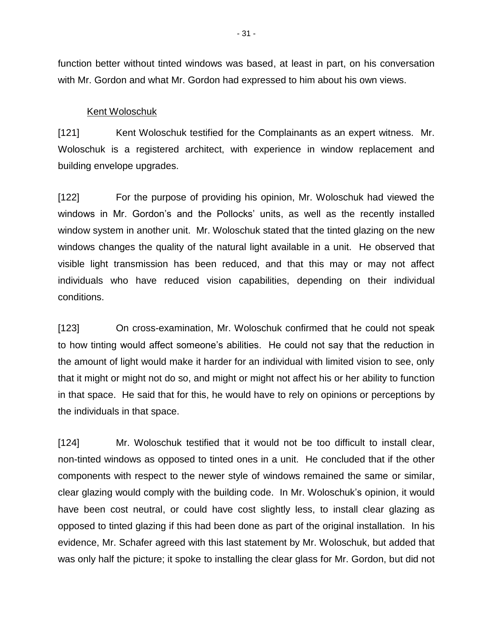function better without tinted windows was based, at least in part, on his conversation with Mr. Gordon and what Mr. Gordon had expressed to him about his own views.

### Kent Woloschuk

[121] Kent Woloschuk testified for the Complainants as an expert witness. Mr. Woloschuk is a registered architect, with experience in window replacement and building envelope upgrades.

[122] For the purpose of providing his opinion, Mr. Woloschuk had viewed the windows in Mr. Gordon's and the Pollocks' units, as well as the recently installed window system in another unit. Mr. Woloschuk stated that the tinted glazing on the new windows changes the quality of the natural light available in a unit. He observed that visible light transmission has been reduced, and that this may or may not affect individuals who have reduced vision capabilities, depending on their individual conditions.

[123] On cross-examination, Mr. Woloschuk confirmed that he could not speak to how tinting would affect someone's abilities. He could not say that the reduction in the amount of light would make it harder for an individual with limited vision to see, only that it might or might not do so, and might or might not affect his or her ability to function in that space. He said that for this, he would have to rely on opinions or perceptions by the individuals in that space.

[124] Mr. Woloschuk testified that it would not be too difficult to install clear, non-tinted windows as opposed to tinted ones in a unit. He concluded that if the other components with respect to the newer style of windows remained the same or similar, clear glazing would comply with the building code. In Mr. Woloschuk's opinion, it would have been cost neutral, or could have cost slightly less, to install clear glazing as opposed to tinted glazing if this had been done as part of the original installation. In his evidence, Mr. Schafer agreed with this last statement by Mr. Woloschuk, but added that was only half the picture; it spoke to installing the clear glass for Mr. Gordon, but did not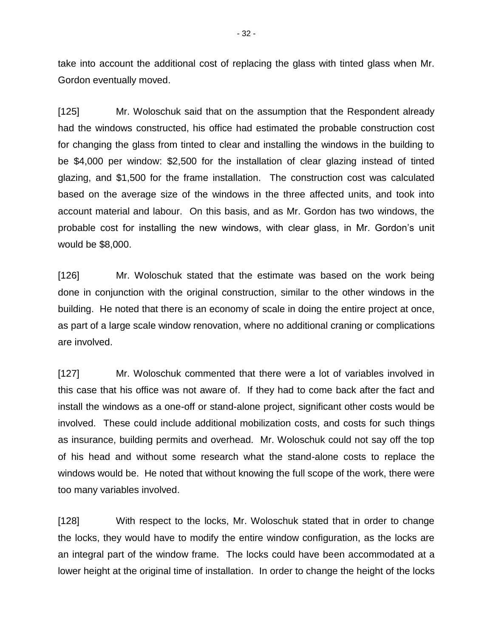take into account the additional cost of replacing the glass with tinted glass when Mr. Gordon eventually moved.

[125] Mr. Woloschuk said that on the assumption that the Respondent already had the windows constructed, his office had estimated the probable construction cost for changing the glass from tinted to clear and installing the windows in the building to be \$4,000 per window: \$2,500 for the installation of clear glazing instead of tinted glazing, and \$1,500 for the frame installation. The construction cost was calculated based on the average size of the windows in the three affected units, and took into account material and labour. On this basis, and as Mr. Gordon has two windows, the probable cost for installing the new windows, with clear glass, in Mr. Gordon's unit would be \$8,000.

[126] Mr. Woloschuk stated that the estimate was based on the work being done in conjunction with the original construction, similar to the other windows in the building. He noted that there is an economy of scale in doing the entire project at once, as part of a large scale window renovation, where no additional craning or complications are involved.

[127] Mr. Woloschuk commented that there were a lot of variables involved in this case that his office was not aware of. If they had to come back after the fact and install the windows as a one-off or stand-alone project, significant other costs would be involved. These could include additional mobilization costs, and costs for such things as insurance, building permits and overhead. Mr. Woloschuk could not say off the top of his head and without some research what the stand-alone costs to replace the windows would be. He noted that without knowing the full scope of the work, there were too many variables involved.

[128] With respect to the locks, Mr. Woloschuk stated that in order to change the locks, they would have to modify the entire window configuration, as the locks are an integral part of the window frame. The locks could have been accommodated at a lower height at the original time of installation. In order to change the height of the locks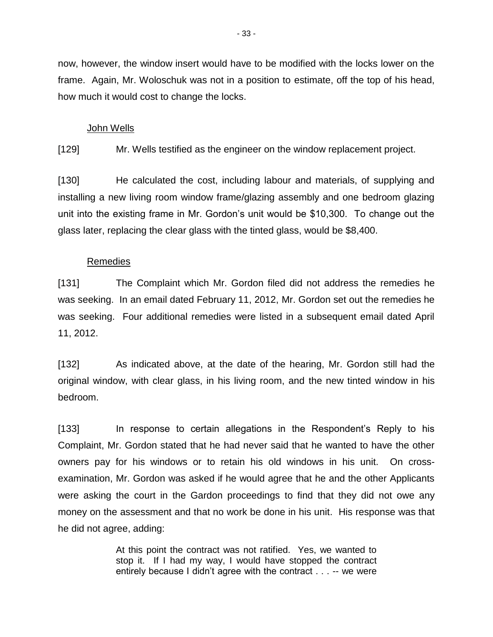now, however, the window insert would have to be modified with the locks lower on the frame. Again, Mr. Woloschuk was not in a position to estimate, off the top of his head, how much it would cost to change the locks.

### John Wells

[129] Mr. Wells testified as the engineer on the window replacement project.

[130] He calculated the cost, including labour and materials, of supplying and installing a new living room window frame/glazing assembly and one bedroom glazing unit into the existing frame in Mr. Gordon's unit would be \$10,300. To change out the glass later, replacing the clear glass with the tinted glass, would be \$8,400.

## Remedies

[131] The Complaint which Mr. Gordon filed did not address the remedies he was seeking. In an email dated February 11, 2012, Mr. Gordon set out the remedies he was seeking. Four additional remedies were listed in a subsequent email dated April 11, 2012.

[132] As indicated above, at the date of the hearing, Mr. Gordon still had the original window, with clear glass, in his living room, and the new tinted window in his bedroom.

[133] In response to certain allegations in the Respondent's Reply to his Complaint, Mr. Gordon stated that he had never said that he wanted to have the other owners pay for his windows or to retain his old windows in his unit. On crossexamination, Mr. Gordon was asked if he would agree that he and the other Applicants were asking the court in the Gardon proceedings to find that they did not owe any money on the assessment and that no work be done in his unit. His response was that he did not agree, adding:

> At this point the contract was not ratified. Yes, we wanted to stop it. If I had my way, I would have stopped the contract entirely because I didn't agree with the contract . . . -- we were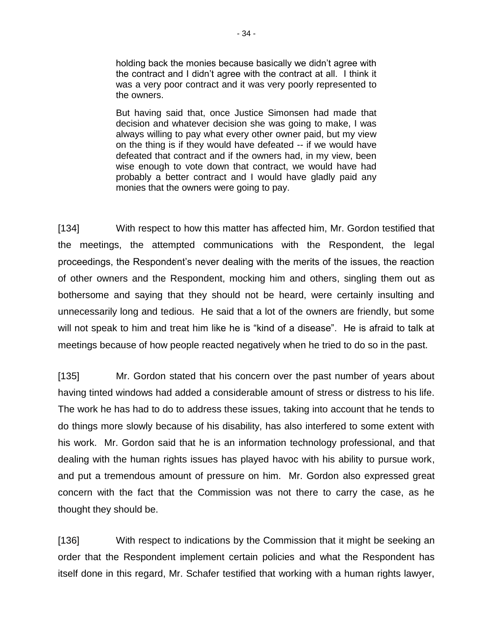holding back the monies because basically we didn't agree with the contract and I didn't agree with the contract at all. I think it was a very poor contract and it was very poorly represented to the owners.

But having said that, once Justice Simonsen had made that decision and whatever decision she was going to make, I was always willing to pay what every other owner paid, but my view on the thing is if they would have defeated -- if we would have defeated that contract and if the owners had, in my view, been wise enough to vote down that contract, we would have had probably a better contract and I would have gladly paid any monies that the owners were going to pay.

[134] With respect to how this matter has affected him, Mr. Gordon testified that the meetings, the attempted communications with the Respondent, the legal proceedings, the Respondent's never dealing with the merits of the issues, the reaction of other owners and the Respondent, mocking him and others, singling them out as bothersome and saying that they should not be heard, were certainly insulting and unnecessarily long and tedious. He said that a lot of the owners are friendly, but some will not speak to him and treat him like he is "kind of a disease". He is afraid to talk at meetings because of how people reacted negatively when he tried to do so in the past.

[135] Mr. Gordon stated that his concern over the past number of years about having tinted windows had added a considerable amount of stress or distress to his life. The work he has had to do to address these issues, taking into account that he tends to do things more slowly because of his disability, has also interfered to some extent with his work. Mr. Gordon said that he is an information technology professional, and that dealing with the human rights issues has played havoc with his ability to pursue work, and put a tremendous amount of pressure on him. Mr. Gordon also expressed great concern with the fact that the Commission was not there to carry the case, as he thought they should be.

[136] With respect to indications by the Commission that it might be seeking an order that the Respondent implement certain policies and what the Respondent has itself done in this regard, Mr. Schafer testified that working with a human rights lawyer,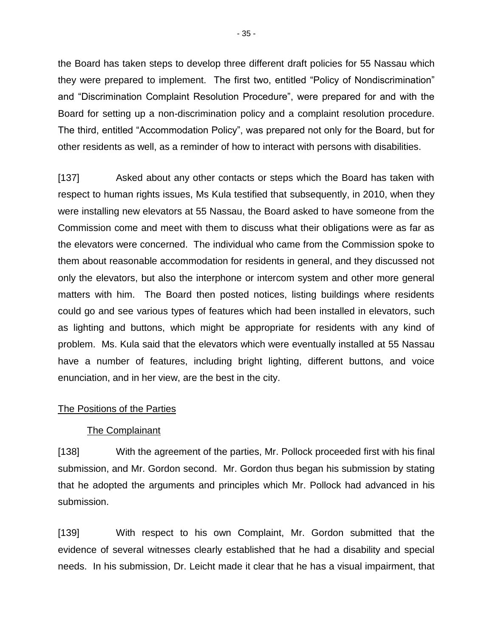the Board has taken steps to develop three different draft policies for 55 Nassau which they were prepared to implement. The first two, entitled "Policy of Nondiscrimination" and "Discrimination Complaint Resolution Procedure", were prepared for and with the Board for setting up a non-discrimination policy and a complaint resolution procedure. The third, entitled "Accommodation Policy", was prepared not only for the Board, but for other residents as well, as a reminder of how to interact with persons with disabilities.

[137] Asked about any other contacts or steps which the Board has taken with respect to human rights issues, Ms Kula testified that subsequently, in 2010, when they were installing new elevators at 55 Nassau, the Board asked to have someone from the Commission come and meet with them to discuss what their obligations were as far as the elevators were concerned. The individual who came from the Commission spoke to them about reasonable accommodation for residents in general, and they discussed not only the elevators, but also the interphone or intercom system and other more general matters with him. The Board then posted notices, listing buildings where residents could go and see various types of features which had been installed in elevators, such as lighting and buttons, which might be appropriate for residents with any kind of problem. Ms. Kula said that the elevators which were eventually installed at 55 Nassau have a number of features, including bright lighting, different buttons, and voice enunciation, and in her view, are the best in the city.

## The Positions of the Parties

#### The Complainant

[138] With the agreement of the parties, Mr. Pollock proceeded first with his final submission, and Mr. Gordon second. Mr. Gordon thus began his submission by stating that he adopted the arguments and principles which Mr. Pollock had advanced in his submission.

[139] With respect to his own Complaint, Mr. Gordon submitted that the evidence of several witnesses clearly established that he had a disability and special needs. In his submission, Dr. Leicht made it clear that he has a visual impairment, that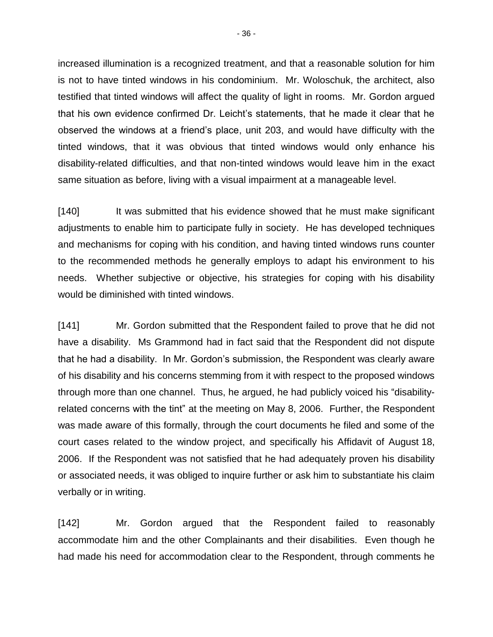increased illumination is a recognized treatment, and that a reasonable solution for him is not to have tinted windows in his condominium. Mr. Woloschuk, the architect, also testified that tinted windows will affect the quality of light in rooms. Mr. Gordon argued that his own evidence confirmed Dr. Leicht's statements, that he made it clear that he observed the windows at a friend's place, unit 203, and would have difficulty with the tinted windows, that it was obvious that tinted windows would only enhance his disability-related difficulties, and that non-tinted windows would leave him in the exact same situation as before, living with a visual impairment at a manageable level.

[140] It was submitted that his evidence showed that he must make significant adjustments to enable him to participate fully in society. He has developed techniques and mechanisms for coping with his condition, and having tinted windows runs counter to the recommended methods he generally employs to adapt his environment to his needs. Whether subjective or objective, his strategies for coping with his disability would be diminished with tinted windows.

[141] Mr. Gordon submitted that the Respondent failed to prove that he did not have a disability. Ms Grammond had in fact said that the Respondent did not dispute that he had a disability. In Mr. Gordon's submission, the Respondent was clearly aware of his disability and his concerns stemming from it with respect to the proposed windows through more than one channel. Thus, he argued, he had publicly voiced his "disabilityrelated concerns with the tint" at the meeting on May 8, 2006. Further, the Respondent was made aware of this formally, through the court documents he filed and some of the court cases related to the window project, and specifically his Affidavit of August 18, 2006. If the Respondent was not satisfied that he had adequately proven his disability or associated needs, it was obliged to inquire further or ask him to substantiate his claim verbally or in writing.

[142] Mr. Gordon argued that the Respondent failed to reasonably accommodate him and the other Complainants and their disabilities. Even though he had made his need for accommodation clear to the Respondent, through comments he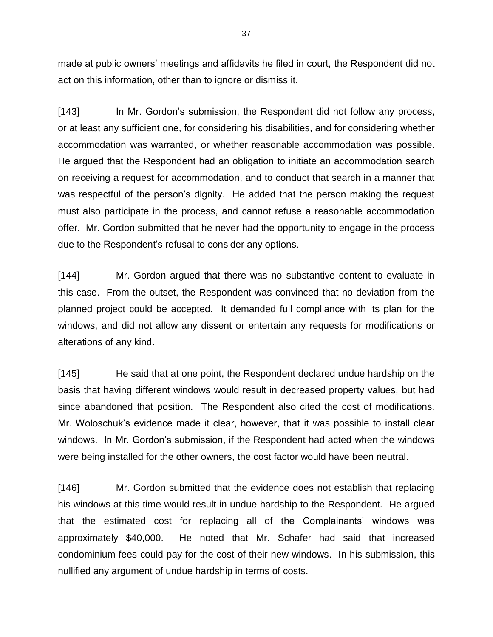made at public owners' meetings and affidavits he filed in court, the Respondent did not act on this information, other than to ignore or dismiss it.

[143] In Mr. Gordon's submission, the Respondent did not follow any process, or at least any sufficient one, for considering his disabilities, and for considering whether accommodation was warranted, or whether reasonable accommodation was possible. He argued that the Respondent had an obligation to initiate an accommodation search on receiving a request for accommodation, and to conduct that search in a manner that was respectful of the person's dignity. He added that the person making the request must also participate in the process, and cannot refuse a reasonable accommodation offer. Mr. Gordon submitted that he never had the opportunity to engage in the process due to the Respondent's refusal to consider any options.

[144] Mr. Gordon argued that there was no substantive content to evaluate in this case. From the outset, the Respondent was convinced that no deviation from the planned project could be accepted. It demanded full compliance with its plan for the windows, and did not allow any dissent or entertain any requests for modifications or alterations of any kind.

[145] He said that at one point, the Respondent declared undue hardship on the basis that having different windows would result in decreased property values, but had since abandoned that position. The Respondent also cited the cost of modifications. Mr. Woloschuk's evidence made it clear, however, that it was possible to install clear windows. In Mr. Gordon's submission, if the Respondent had acted when the windows were being installed for the other owners, the cost factor would have been neutral.

[146] Mr. Gordon submitted that the evidence does not establish that replacing his windows at this time would result in undue hardship to the Respondent. He argued that the estimated cost for replacing all of the Complainants' windows was approximately \$40,000. He noted that Mr. Schafer had said that increased condominium fees could pay for the cost of their new windows. In his submission, this nullified any argument of undue hardship in terms of costs.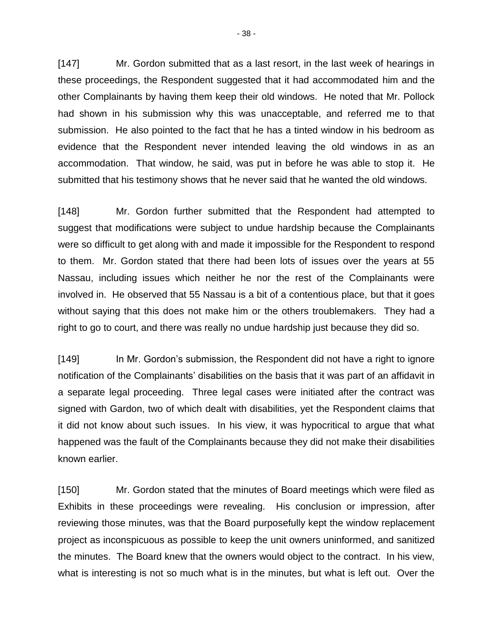[147] Mr. Gordon submitted that as a last resort, in the last week of hearings in these proceedings, the Respondent suggested that it had accommodated him and the other Complainants by having them keep their old windows. He noted that Mr. Pollock had shown in his submission why this was unacceptable, and referred me to that submission. He also pointed to the fact that he has a tinted window in his bedroom as evidence that the Respondent never intended leaving the old windows in as an accommodation. That window, he said, was put in before he was able to stop it. He submitted that his testimony shows that he never said that he wanted the old windows.

[148] Mr. Gordon further submitted that the Respondent had attempted to suggest that modifications were subject to undue hardship because the Complainants were so difficult to get along with and made it impossible for the Respondent to respond to them. Mr. Gordon stated that there had been lots of issues over the years at 55 Nassau, including issues which neither he nor the rest of the Complainants were involved in. He observed that 55 Nassau is a bit of a contentious place, but that it goes without saying that this does not make him or the others troublemakers. They had a right to go to court, and there was really no undue hardship just because they did so.

[149] In Mr. Gordon's submission, the Respondent did not have a right to ignore notification of the Complainants' disabilities on the basis that it was part of an affidavit in a separate legal proceeding. Three legal cases were initiated after the contract was signed with Gardon, two of which dealt with disabilities, yet the Respondent claims that it did not know about such issues. In his view, it was hypocritical to argue that what happened was the fault of the Complainants because they did not make their disabilities known earlier.

[150] Mr. Gordon stated that the minutes of Board meetings which were filed as Exhibits in these proceedings were revealing. His conclusion or impression, after reviewing those minutes, was that the Board purposefully kept the window replacement project as inconspicuous as possible to keep the unit owners uninformed, and sanitized the minutes. The Board knew that the owners would object to the contract. In his view, what is interesting is not so much what is in the minutes, but what is left out. Over the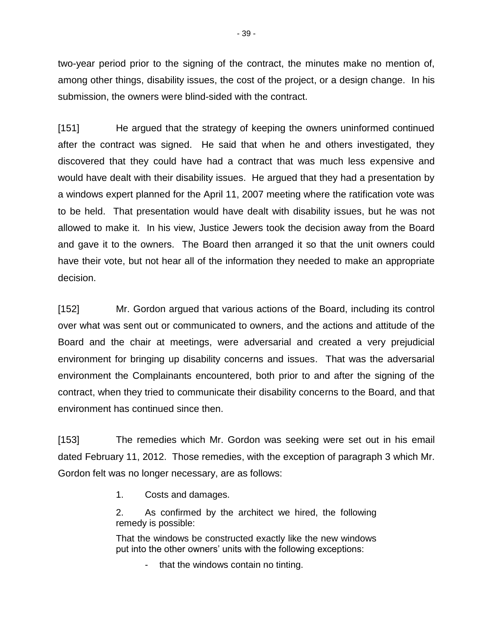two-year period prior to the signing of the contract, the minutes make no mention of, among other things, disability issues, the cost of the project, or a design change. In his submission, the owners were blind-sided with the contract.

[151] He argued that the strategy of keeping the owners uninformed continued after the contract was signed. He said that when he and others investigated, they discovered that they could have had a contract that was much less expensive and would have dealt with their disability issues. He argued that they had a presentation by a windows expert planned for the April 11, 2007 meeting where the ratification vote was to be held. That presentation would have dealt with disability issues, but he was not allowed to make it. In his view, Justice Jewers took the decision away from the Board and gave it to the owners. The Board then arranged it so that the unit owners could have their vote, but not hear all of the information they needed to make an appropriate decision.

[152] Mr. Gordon argued that various actions of the Board, including its control over what was sent out or communicated to owners, and the actions and attitude of the Board and the chair at meetings, were adversarial and created a very prejudicial environment for bringing up disability concerns and issues. That was the adversarial environment the Complainants encountered, both prior to and after the signing of the contract, when they tried to communicate their disability concerns to the Board, and that environment has continued since then.

[153] The remedies which Mr. Gordon was seeking were set out in his email dated February 11, 2012. Those remedies, with the exception of paragraph 3 which Mr. Gordon felt was no longer necessary, are as follows:

1. Costs and damages.

2. As confirmed by the architect we hired, the following remedy is possible:

That the windows be constructed exactly like the new windows put into the other owners' units with the following exceptions:

that the windows contain no tinting.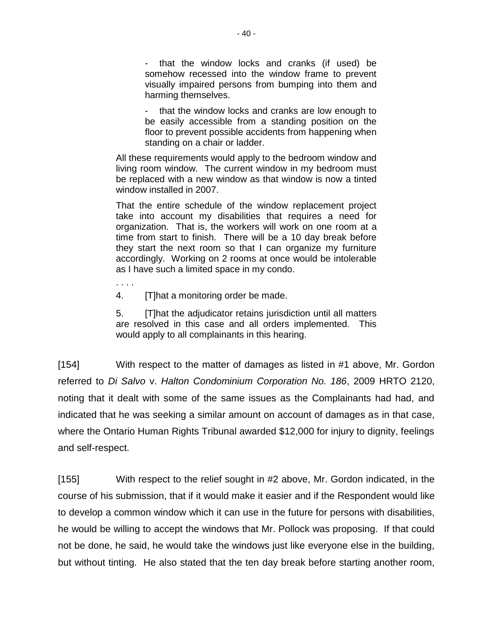- that the window locks and cranks (if used) be somehow recessed into the window frame to prevent visually impaired persons from bumping into them and harming themselves.

that the window locks and cranks are low enough to be easily accessible from a standing position on the floor to prevent possible accidents from happening when standing on a chair or ladder.

All these requirements would apply to the bedroom window and living room window. The current window in my bedroom must be replaced with a new window as that window is now a tinted window installed in 2007.

That the entire schedule of the window replacement project take into account my disabilities that requires a need for organization. That is, the workers will work on one room at a time from start to finish. There will be a 10 day break before they start the next room so that I can organize my furniture accordingly. Working on 2 rooms at once would be intolerable as I have such a limited space in my condo.

. . . .

4. [T]hat a monitoring order be made.

5. [T]hat the adjudicator retains jurisdiction until all matters are resolved in this case and all orders implemented. This would apply to all complainants in this hearing.

[154] With respect to the matter of damages as listed in #1 above, Mr. Gordon referred to *Di Salvo* v. *Halton Condominium Corporation No. 186*, 2009 HRTO 2120, noting that it dealt with some of the same issues as the Complainants had had, and indicated that he was seeking a similar amount on account of damages as in that case, where the Ontario Human Rights Tribunal awarded \$12,000 for injury to dignity, feelings and self-respect.

[155] With respect to the relief sought in #2 above, Mr. Gordon indicated, in the course of his submission, that if it would make it easier and if the Respondent would like to develop a common window which it can use in the future for persons with disabilities, he would be willing to accept the windows that Mr. Pollock was proposing. If that could not be done, he said, he would take the windows just like everyone else in the building, but without tinting. He also stated that the ten day break before starting another room,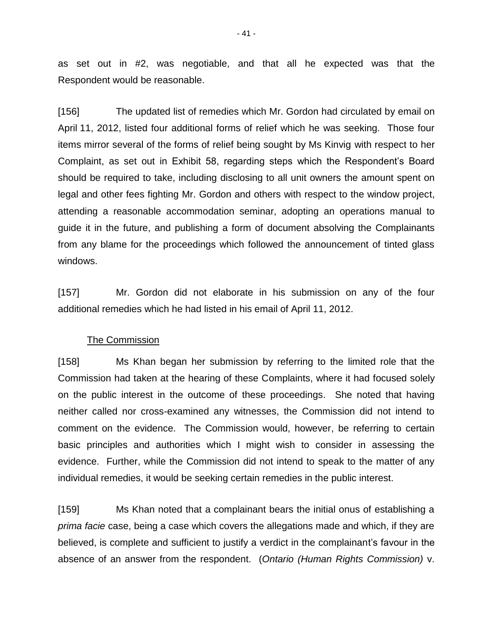as set out in #2, was negotiable, and that all he expected was that the Respondent would be reasonable.

[156] The updated list of remedies which Mr. Gordon had circulated by email on April 11, 2012, listed four additional forms of relief which he was seeking. Those four items mirror several of the forms of relief being sought by Ms Kinvig with respect to her Complaint, as set out in Exhibit 58, regarding steps which the Respondent's Board should be required to take, including disclosing to all unit owners the amount spent on legal and other fees fighting Mr. Gordon and others with respect to the window project, attending a reasonable accommodation seminar, adopting an operations manual to guide it in the future, and publishing a form of document absolving the Complainants from any blame for the proceedings which followed the announcement of tinted glass windows.

[157] Mr. Gordon did not elaborate in his submission on any of the four additional remedies which he had listed in his email of April 11, 2012.

#### The Commission

[158] Ms Khan began her submission by referring to the limited role that the Commission had taken at the hearing of these Complaints, where it had focused solely on the public interest in the outcome of these proceedings. She noted that having neither called nor cross-examined any witnesses, the Commission did not intend to comment on the evidence. The Commission would, however, be referring to certain basic principles and authorities which I might wish to consider in assessing the evidence. Further, while the Commission did not intend to speak to the matter of any individual remedies, it would be seeking certain remedies in the public interest.

[159] Ms Khan noted that a complainant bears the initial onus of establishing a *prima facie* case, being a case which covers the allegations made and which, if they are believed, is complete and sufficient to justify a verdict in the complainant's favour in the absence of an answer from the respondent. (*Ontario (Human Rights Commission)* v.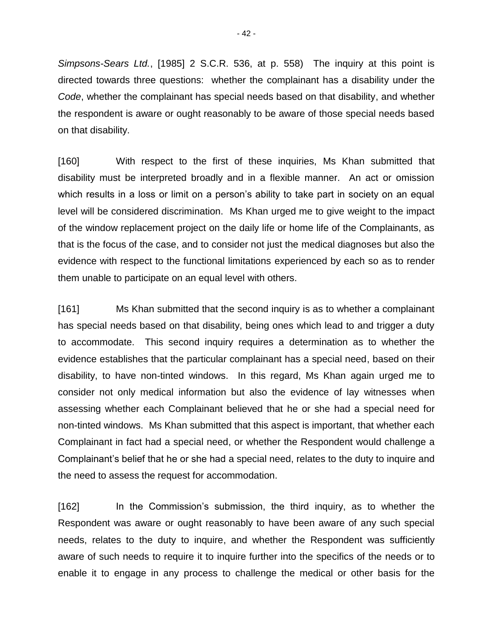*Simpsons-Sears Ltd.*, [1985] 2 S.C.R. 536, at p. 558) The inquiry at this point is directed towards three questions: whether the complainant has a disability under the *Code*, whether the complainant has special needs based on that disability, and whether the respondent is aware or ought reasonably to be aware of those special needs based on that disability.

[160] With respect to the first of these inquiries, Ms Khan submitted that disability must be interpreted broadly and in a flexible manner. An act or omission which results in a loss or limit on a person's ability to take part in society on an equal level will be considered discrimination. Ms Khan urged me to give weight to the impact of the window replacement project on the daily life or home life of the Complainants, as that is the focus of the case, and to consider not just the medical diagnoses but also the evidence with respect to the functional limitations experienced by each so as to render them unable to participate on an equal level with others.

[161] Ms Khan submitted that the second inquiry is as to whether a complainant has special needs based on that disability, being ones which lead to and trigger a duty to accommodate. This second inquiry requires a determination as to whether the evidence establishes that the particular complainant has a special need, based on their disability, to have non-tinted windows. In this regard, Ms Khan again urged me to consider not only medical information but also the evidence of lay witnesses when assessing whether each Complainant believed that he or she had a special need for non-tinted windows. Ms Khan submitted that this aspect is important, that whether each Complainant in fact had a special need, or whether the Respondent would challenge a Complainant's belief that he or she had a special need, relates to the duty to inquire and the need to assess the request for accommodation.

[162] In the Commission's submission, the third inquiry, as to whether the Respondent was aware or ought reasonably to have been aware of any such special needs, relates to the duty to inquire, and whether the Respondent was sufficiently aware of such needs to require it to inquire further into the specifics of the needs or to enable it to engage in any process to challenge the medical or other basis for the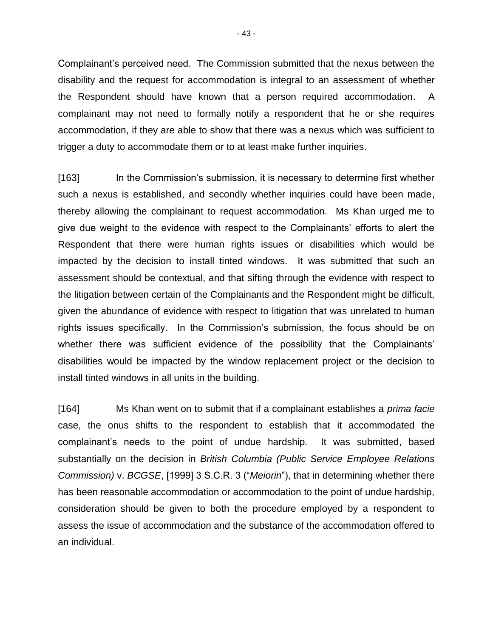Complainant's perceived need. The Commission submitted that the nexus between the disability and the request for accommodation is integral to an assessment of whether the Respondent should have known that a person required accommodation. A complainant may not need to formally notify a respondent that he or she requires accommodation, if they are able to show that there was a nexus which was sufficient to trigger a duty to accommodate them or to at least make further inquiries.

[163] In the Commission's submission, it is necessary to determine first whether such a nexus is established, and secondly whether inquiries could have been made, thereby allowing the complainant to request accommodation. Ms Khan urged me to give due weight to the evidence with respect to the Complainants' efforts to alert the Respondent that there were human rights issues or disabilities which would be impacted by the decision to install tinted windows. It was submitted that such an assessment should be contextual, and that sifting through the evidence with respect to the litigation between certain of the Complainants and the Respondent might be difficult, given the abundance of evidence with respect to litigation that was unrelated to human rights issues specifically. In the Commission's submission, the focus should be on whether there was sufficient evidence of the possibility that the Complainants' disabilities would be impacted by the window replacement project or the decision to install tinted windows in all units in the building.

[164] Ms Khan went on to submit that if a complainant establishes a *prima facie* case, the onus shifts to the respondent to establish that it accommodated the complainant's needs to the point of undue hardship. It was submitted, based substantially on the decision in *British Columbia (Public Service Employee Relations Commission)* v. *BCGSE*, [1999] 3 S.C.R. 3 ("*Meiorin*"), that in determining whether there has been reasonable accommodation or accommodation to the point of undue hardship, consideration should be given to both the procedure employed by a respondent to assess the issue of accommodation and the substance of the accommodation offered to an individual.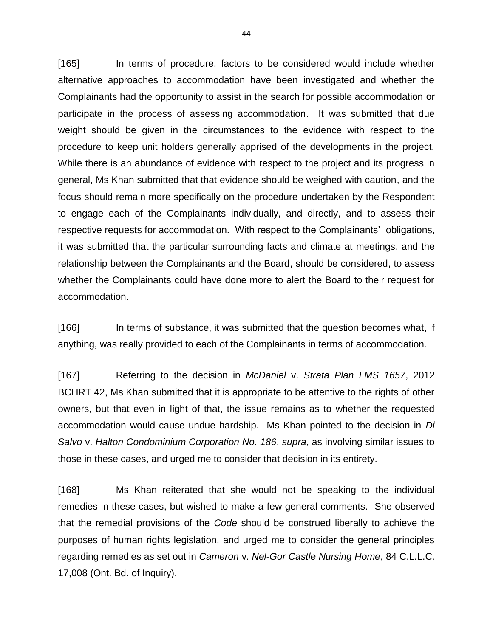[165] In terms of procedure, factors to be considered would include whether alternative approaches to accommodation have been investigated and whether the Complainants had the opportunity to assist in the search for possible accommodation or participate in the process of assessing accommodation. It was submitted that due weight should be given in the circumstances to the evidence with respect to the procedure to keep unit holders generally apprised of the developments in the project. While there is an abundance of evidence with respect to the project and its progress in general, Ms Khan submitted that that evidence should be weighed with caution, and the focus should remain more specifically on the procedure undertaken by the Respondent to engage each of the Complainants individually, and directly, and to assess their respective requests for accommodation. With respect to the Complainants' obligations, it was submitted that the particular surrounding facts and climate at meetings, and the relationship between the Complainants and the Board, should be considered, to assess whether the Complainants could have done more to alert the Board to their request for accommodation.

[166] In terms of substance, it was submitted that the question becomes what, if anything, was really provided to each of the Complainants in terms of accommodation.

[167] Referring to the decision in *McDaniel* v. *Strata Plan LMS 1657*, 2012 BCHRT 42, Ms Khan submitted that it is appropriate to be attentive to the rights of other owners, but that even in light of that, the issue remains as to whether the requested accommodation would cause undue hardship. Ms Khan pointed to the decision in *Di Salvo* v. *Halton Condominium Corporation No. 186*, *supra*, as involving similar issues to those in these cases, and urged me to consider that decision in its entirety.

[168] Ms Khan reiterated that she would not be speaking to the individual remedies in these cases, but wished to make a few general comments. She observed that the remedial provisions of the *Code* should be construed liberally to achieve the purposes of human rights legislation, and urged me to consider the general principles regarding remedies as set out in *Cameron* v. *Nel-Gor Castle Nursing Home*, 84 C.L.L.C. 17,008 (Ont. Bd. of Inquiry).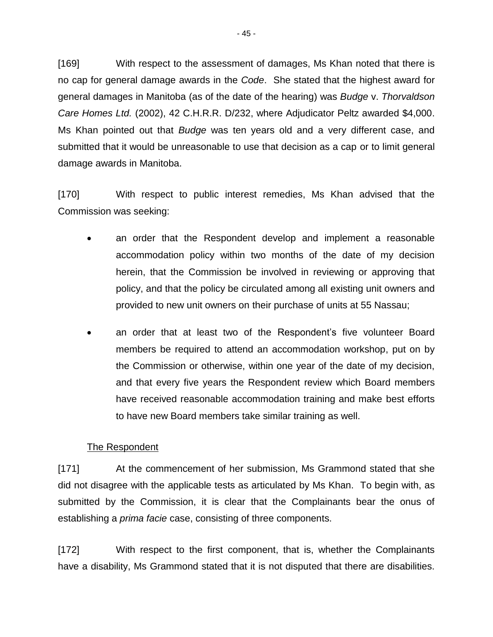[169] With respect to the assessment of damages, Ms Khan noted that there is no cap for general damage awards in the *Code*. She stated that the highest award for general damages in Manitoba (as of the date of the hearing) was *Budge* v. *Thorvaldson Care Homes Ltd.* (2002), 42 C.H.R.R. D/232, where Adjudicator Peltz awarded \$4,000. Ms Khan pointed out that *Budge* was ten years old and a very different case, and submitted that it would be unreasonable to use that decision as a cap or to limit general damage awards in Manitoba.

[170] With respect to public interest remedies, Ms Khan advised that the Commission was seeking:

- an order that the Respondent develop and implement a reasonable accommodation policy within two months of the date of my decision herein, that the Commission be involved in reviewing or approving that policy, and that the policy be circulated among all existing unit owners and provided to new unit owners on their purchase of units at 55 Nassau;
- an order that at least two of the Respondent's five volunteer Board members be required to attend an accommodation workshop, put on by the Commission or otherwise, within one year of the date of my decision, and that every five years the Respondent review which Board members have received reasonable accommodation training and make best efforts to have new Board members take similar training as well.

## The Respondent

[171] At the commencement of her submission, Ms Grammond stated that she did not disagree with the applicable tests as articulated by Ms Khan. To begin with, as submitted by the Commission, it is clear that the Complainants bear the onus of establishing a *prima facie* case, consisting of three components.

[172] With respect to the first component, that is, whether the Complainants have a disability, Ms Grammond stated that it is not disputed that there are disabilities.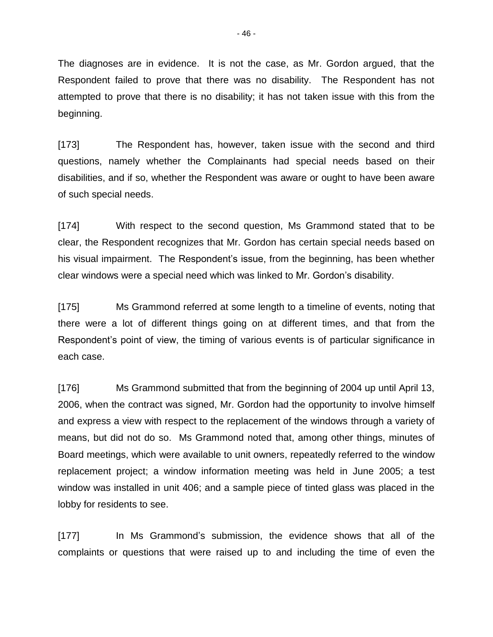The diagnoses are in evidence. It is not the case, as Mr. Gordon argued, that the Respondent failed to prove that there was no disability. The Respondent has not attempted to prove that there is no disability; it has not taken issue with this from the beginning.

[173] The Respondent has, however, taken issue with the second and third questions, namely whether the Complainants had special needs based on their disabilities, and if so, whether the Respondent was aware or ought to have been aware of such special needs.

[174] With respect to the second question, Ms Grammond stated that to be clear, the Respondent recognizes that Mr. Gordon has certain special needs based on his visual impairment. The Respondent's issue, from the beginning, has been whether clear windows were a special need which was linked to Mr. Gordon's disability.

[175] Ms Grammond referred at some length to a timeline of events, noting that there were a lot of different things going on at different times, and that from the Respondent's point of view, the timing of various events is of particular significance in each case.

[176] Ms Grammond submitted that from the beginning of 2004 up until April 13, 2006, when the contract was signed, Mr. Gordon had the opportunity to involve himself and express a view with respect to the replacement of the windows through a variety of means, but did not do so. Ms Grammond noted that, among other things, minutes of Board meetings, which were available to unit owners, repeatedly referred to the window replacement project; a window information meeting was held in June 2005; a test window was installed in unit 406; and a sample piece of tinted glass was placed in the lobby for residents to see.

[177] In Ms Grammond's submission, the evidence shows that all of the complaints or questions that were raised up to and including the time of even the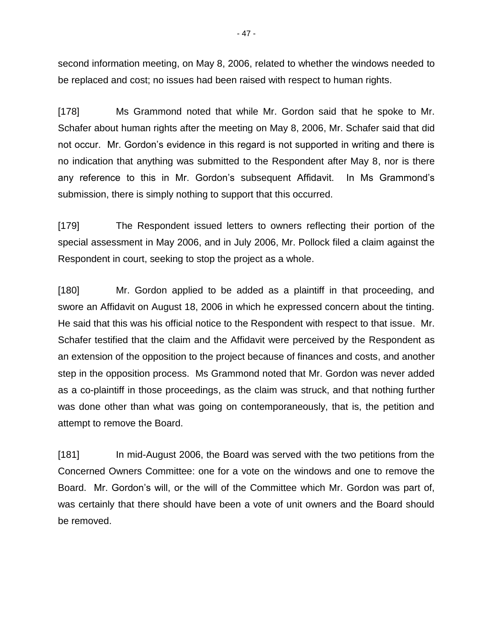second information meeting, on May 8, 2006, related to whether the windows needed to be replaced and cost; no issues had been raised with respect to human rights.

[178] Ms Grammond noted that while Mr. Gordon said that he spoke to Mr. Schafer about human rights after the meeting on May 8, 2006, Mr. Schafer said that did not occur. Mr. Gordon's evidence in this regard is not supported in writing and there is no indication that anything was submitted to the Respondent after May 8, nor is there any reference to this in Mr. Gordon's subsequent Affidavit. In Ms Grammond's submission, there is simply nothing to support that this occurred.

[179] The Respondent issued letters to owners reflecting their portion of the special assessment in May 2006, and in July 2006, Mr. Pollock filed a claim against the Respondent in court, seeking to stop the project as a whole.

[180] Mr. Gordon applied to be added as a plaintiff in that proceeding, and swore an Affidavit on August 18, 2006 in which he expressed concern about the tinting. He said that this was his official notice to the Respondent with respect to that issue. Mr. Schafer testified that the claim and the Affidavit were perceived by the Respondent as an extension of the opposition to the project because of finances and costs, and another step in the opposition process. Ms Grammond noted that Mr. Gordon was never added as a co-plaintiff in those proceedings, as the claim was struck, and that nothing further was done other than what was going on contemporaneously, that is, the petition and attempt to remove the Board.

[181] In mid-August 2006, the Board was served with the two petitions from the Concerned Owners Committee: one for a vote on the windows and one to remove the Board. Mr. Gordon's will, or the will of the Committee which Mr. Gordon was part of, was certainly that there should have been a vote of unit owners and the Board should be removed.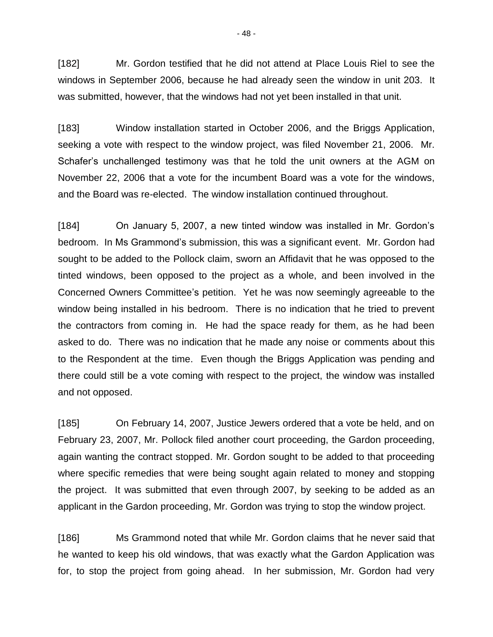[182] Mr. Gordon testified that he did not attend at Place Louis Riel to see the windows in September 2006, because he had already seen the window in unit 203. It was submitted, however, that the windows had not yet been installed in that unit.

[183] Window installation started in October 2006, and the Briggs Application, seeking a vote with respect to the window project, was filed November 21, 2006. Mr. Schafer's unchallenged testimony was that he told the unit owners at the AGM on November 22, 2006 that a vote for the incumbent Board was a vote for the windows, and the Board was re-elected. The window installation continued throughout.

[184] On January 5, 2007, a new tinted window was installed in Mr. Gordon's bedroom. In Ms Grammond's submission, this was a significant event. Mr. Gordon had sought to be added to the Pollock claim, sworn an Affidavit that he was opposed to the tinted windows, been opposed to the project as a whole, and been involved in the Concerned Owners Committee's petition. Yet he was now seemingly agreeable to the window being installed in his bedroom. There is no indication that he tried to prevent the contractors from coming in. He had the space ready for them, as he had been asked to do. There was no indication that he made any noise or comments about this to the Respondent at the time. Even though the Briggs Application was pending and there could still be a vote coming with respect to the project, the window was installed and not opposed.

[185] On February 14, 2007, Justice Jewers ordered that a vote be held, and on February 23, 2007, Mr. Pollock filed another court proceeding, the Gardon proceeding, again wanting the contract stopped. Mr. Gordon sought to be added to that proceeding where specific remedies that were being sought again related to money and stopping the project. It was submitted that even through 2007, by seeking to be added as an applicant in the Gardon proceeding, Mr. Gordon was trying to stop the window project.

[186] Ms Grammond noted that while Mr. Gordon claims that he never said that he wanted to keep his old windows, that was exactly what the Gardon Application was for, to stop the project from going ahead. In her submission, Mr. Gordon had very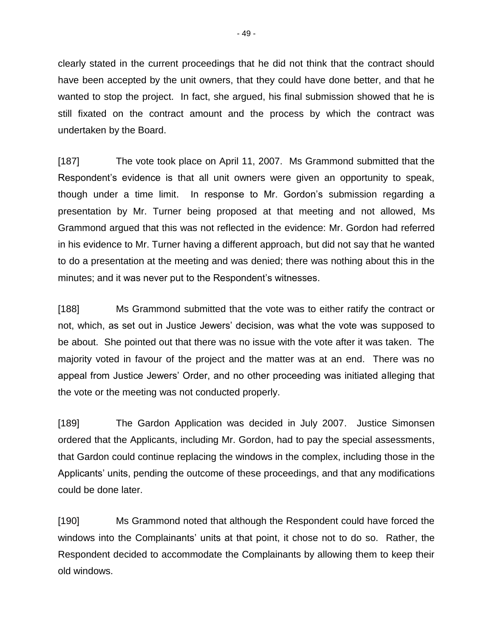clearly stated in the current proceedings that he did not think that the contract should have been accepted by the unit owners, that they could have done better, and that he wanted to stop the project. In fact, she argued, his final submission showed that he is still fixated on the contract amount and the process by which the contract was undertaken by the Board.

[187] The vote took place on April 11, 2007. Ms Grammond submitted that the Respondent's evidence is that all unit owners were given an opportunity to speak, though under a time limit. In response to Mr. Gordon's submission regarding a presentation by Mr. Turner being proposed at that meeting and not allowed, Ms Grammond argued that this was not reflected in the evidence: Mr. Gordon had referred in his evidence to Mr. Turner having a different approach, but did not say that he wanted to do a presentation at the meeting and was denied; there was nothing about this in the minutes; and it was never put to the Respondent's witnesses.

[188] Ms Grammond submitted that the vote was to either ratify the contract or not, which, as set out in Justice Jewers' decision, was what the vote was supposed to be about. She pointed out that there was no issue with the vote after it was taken. The majority voted in favour of the project and the matter was at an end. There was no appeal from Justice Jewers' Order, and no other proceeding was initiated alleging that the vote or the meeting was not conducted properly.

[189] The Gardon Application was decided in July 2007. Justice Simonsen ordered that the Applicants, including Mr. Gordon, had to pay the special assessments, that Gardon could continue replacing the windows in the complex, including those in the Applicants' units, pending the outcome of these proceedings, and that any modifications could be done later.

[190] Ms Grammond noted that although the Respondent could have forced the windows into the Complainants' units at that point, it chose not to do so. Rather, the Respondent decided to accommodate the Complainants by allowing them to keep their old windows.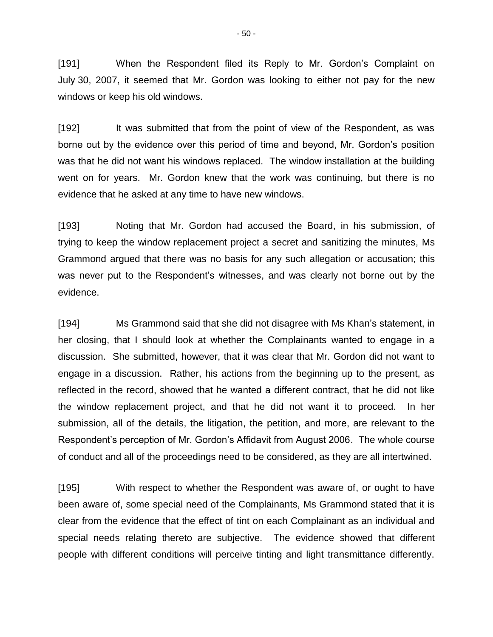[191] When the Respondent filed its Reply to Mr. Gordon's Complaint on July 30, 2007, it seemed that Mr. Gordon was looking to either not pay for the new windows or keep his old windows.

[192] It was submitted that from the point of view of the Respondent, as was borne out by the evidence over this period of time and beyond, Mr. Gordon's position was that he did not want his windows replaced. The window installation at the building went on for years. Mr. Gordon knew that the work was continuing, but there is no evidence that he asked at any time to have new windows.

[193] Noting that Mr. Gordon had accused the Board, in his submission, of trying to keep the window replacement project a secret and sanitizing the minutes, Ms Grammond argued that there was no basis for any such allegation or accusation; this was never put to the Respondent's witnesses, and was clearly not borne out by the evidence.

[194] Ms Grammond said that she did not disagree with Ms Khan's statement, in her closing, that I should look at whether the Complainants wanted to engage in a discussion. She submitted, however, that it was clear that Mr. Gordon did not want to engage in a discussion. Rather, his actions from the beginning up to the present, as reflected in the record, showed that he wanted a different contract, that he did not like the window replacement project, and that he did not want it to proceed. In her submission, all of the details, the litigation, the petition, and more, are relevant to the Respondent's perception of Mr. Gordon's Affidavit from August 2006. The whole course of conduct and all of the proceedings need to be considered, as they are all intertwined.

[195] With respect to whether the Respondent was aware of, or ought to have been aware of, some special need of the Complainants, Ms Grammond stated that it is clear from the evidence that the effect of tint on each Complainant as an individual and special needs relating thereto are subjective. The evidence showed that different people with different conditions will perceive tinting and light transmittance differently.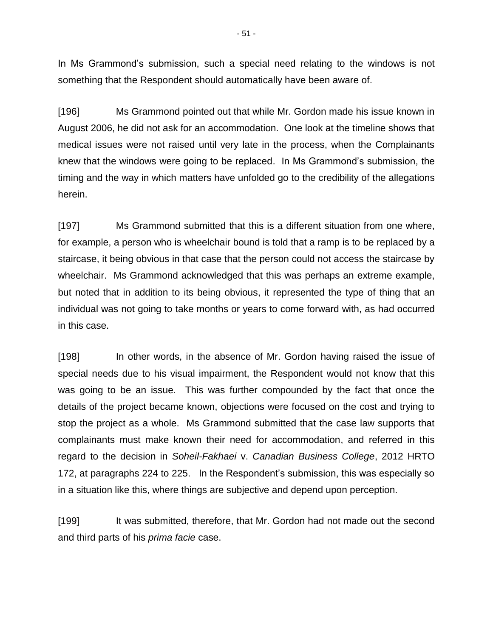In Ms Grammond's submission, such a special need relating to the windows is not something that the Respondent should automatically have been aware of.

[196] Ms Grammond pointed out that while Mr. Gordon made his issue known in August 2006, he did not ask for an accommodation. One look at the timeline shows that medical issues were not raised until very late in the process, when the Complainants knew that the windows were going to be replaced. In Ms Grammond's submission, the timing and the way in which matters have unfolded go to the credibility of the allegations herein.

[197] Ms Grammond submitted that this is a different situation from one where, for example, a person who is wheelchair bound is told that a ramp is to be replaced by a staircase, it being obvious in that case that the person could not access the staircase by wheelchair. Ms Grammond acknowledged that this was perhaps an extreme example, but noted that in addition to its being obvious, it represented the type of thing that an individual was not going to take months or years to come forward with, as had occurred in this case.

[198] In other words, in the absence of Mr. Gordon having raised the issue of special needs due to his visual impairment, the Respondent would not know that this was going to be an issue. This was further compounded by the fact that once the details of the project became known, objections were focused on the cost and trying to stop the project as a whole. Ms Grammond submitted that the case law supports that complainants must make known their need for accommodation, and referred in this regard to the decision in *Soheil-Fakhaei* v. *Canadian Business College*, 2012 HRTO 172, at paragraphs 224 to 225. In the Respondent's submission, this was especially so in a situation like this, where things are subjective and depend upon perception.

[199] It was submitted, therefore, that Mr. Gordon had not made out the second and third parts of his *prima facie* case.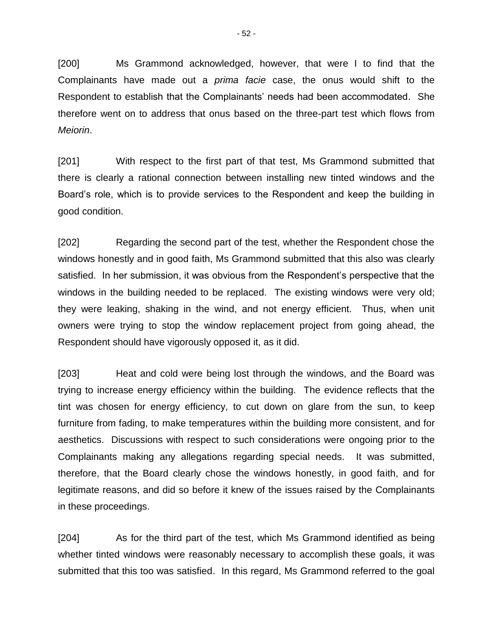[200] Ms Grammond acknowledged, however, that were I to find that the Complainants have made out a *prima facie* case, the onus would shift to the Respondent to establish that the Complainants' needs had been accommodated. She therefore went on to address that onus based on the three-part test which flows from *Meiorin*.

[201] With respect to the first part of that test, Ms Grammond submitted that there is clearly a rational connection between installing new tinted windows and the Board's role, which is to provide services to the Respondent and keep the building in good condition.

[202] Regarding the second part of the test, whether the Respondent chose the windows honestly and in good faith, Ms Grammond submitted that this also was clearly satisfied. In her submission, it was obvious from the Respondent's perspective that the windows in the building needed to be replaced. The existing windows were very old; they were leaking, shaking in the wind, and not energy efficient. Thus, when unit owners were trying to stop the window replacement project from going ahead, the Respondent should have vigorously opposed it, as it did.

[203] Heat and cold were being lost through the windows, and the Board was trying to increase energy efficiency within the building. The evidence reflects that the tint was chosen for energy efficiency, to cut down on glare from the sun, to keep furniture from fading, to make temperatures within the building more consistent, and for aesthetics. Discussions with respect to such considerations were ongoing prior to the Complainants making any allegations regarding special needs. It was submitted, therefore, that the Board clearly chose the windows honestly, in good faith, and for legitimate reasons, and did so before it knew of the issues raised by the Complainants in these proceedings.

[204] As for the third part of the test, which Ms Grammond identified as being whether tinted windows were reasonably necessary to accomplish these goals, it was submitted that this too was satisfied. In this regard, Ms Grammond referred to the goal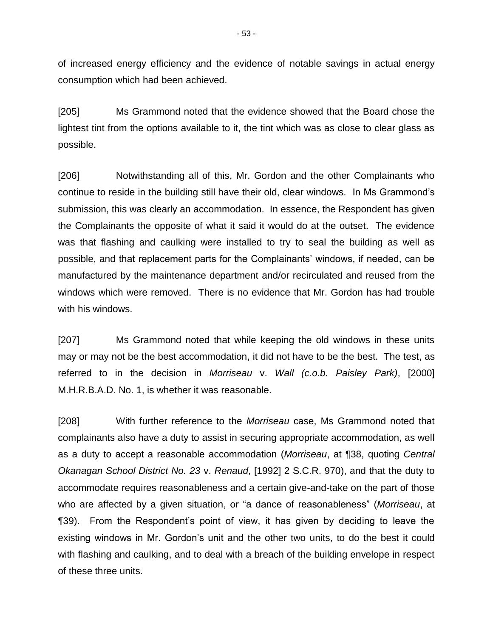of increased energy efficiency and the evidence of notable savings in actual energy consumption which had been achieved.

[205] Ms Grammond noted that the evidence showed that the Board chose the lightest tint from the options available to it, the tint which was as close to clear glass as possible.

[206] Notwithstanding all of this, Mr. Gordon and the other Complainants who continue to reside in the building still have their old, clear windows. In Ms Grammond's submission, this was clearly an accommodation. In essence, the Respondent has given the Complainants the opposite of what it said it would do at the outset. The evidence was that flashing and caulking were installed to try to seal the building as well as possible, and that replacement parts for the Complainants' windows, if needed, can be manufactured by the maintenance department and/or recirculated and reused from the windows which were removed. There is no evidence that Mr. Gordon has had trouble with his windows.

[207] Ms Grammond noted that while keeping the old windows in these units may or may not be the best accommodation, it did not have to be the best. The test, as referred to in the decision in *Morriseau* v. *Wall (c.o.b. Paisley Park)*, [2000] M.H.R.B.A.D. No. 1, is whether it was reasonable.

[208] With further reference to the *Morriseau* case, Ms Grammond noted that complainants also have a duty to assist in securing appropriate accommodation, as well as a duty to accept a reasonable accommodation (*Morriseau*, at ¶38, quoting *Central Okanagan School District No. 23* v. *Renaud*, [1992] 2 S.C.R. 970), and that the duty to accommodate requires reasonableness and a certain give-and-take on the part of those who are affected by a given situation, or "a dance of reasonableness" (*Morriseau*, at ¶39). From the Respondent's point of view, it has given by deciding to leave the existing windows in Mr. Gordon's unit and the other two units, to do the best it could with flashing and caulking, and to deal with a breach of the building envelope in respect of these three units.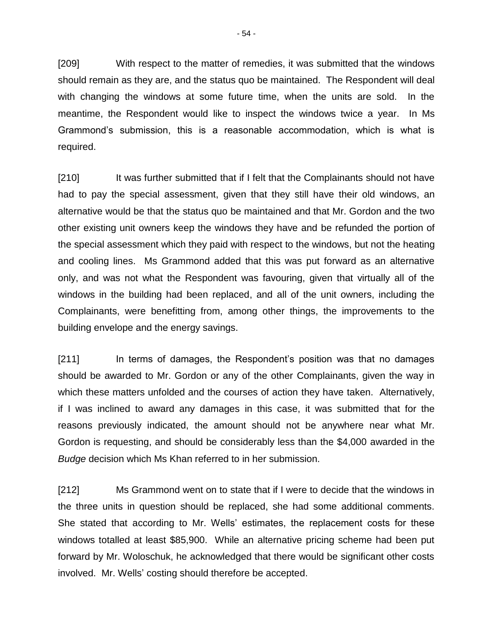[209] With respect to the matter of remedies, it was submitted that the windows should remain as they are, and the status quo be maintained. The Respondent will deal with changing the windows at some future time, when the units are sold. In the meantime, the Respondent would like to inspect the windows twice a year. In Ms Grammond's submission, this is a reasonable accommodation, which is what is required.

[210] It was further submitted that if I felt that the Complainants should not have had to pay the special assessment, given that they still have their old windows, an alternative would be that the status quo be maintained and that Mr. Gordon and the two other existing unit owners keep the windows they have and be refunded the portion of the special assessment which they paid with respect to the windows, but not the heating and cooling lines. Ms Grammond added that this was put forward as an alternative only, and was not what the Respondent was favouring, given that virtually all of the windows in the building had been replaced, and all of the unit owners, including the Complainants, were benefitting from, among other things, the improvements to the building envelope and the energy savings.

[211] In terms of damages, the Respondent's position was that no damages should be awarded to Mr. Gordon or any of the other Complainants, given the way in which these matters unfolded and the courses of action they have taken. Alternatively, if I was inclined to award any damages in this case, it was submitted that for the reasons previously indicated, the amount should not be anywhere near what Mr. Gordon is requesting, and should be considerably less than the \$4,000 awarded in the *Budge* decision which Ms Khan referred to in her submission.

[212] Ms Grammond went on to state that if I were to decide that the windows in the three units in question should be replaced, she had some additional comments. She stated that according to Mr. Wells' estimates, the replacement costs for these windows totalled at least \$85,900. While an alternative pricing scheme had been put forward by Mr. Woloschuk, he acknowledged that there would be significant other costs involved. Mr. Wells' costing should therefore be accepted.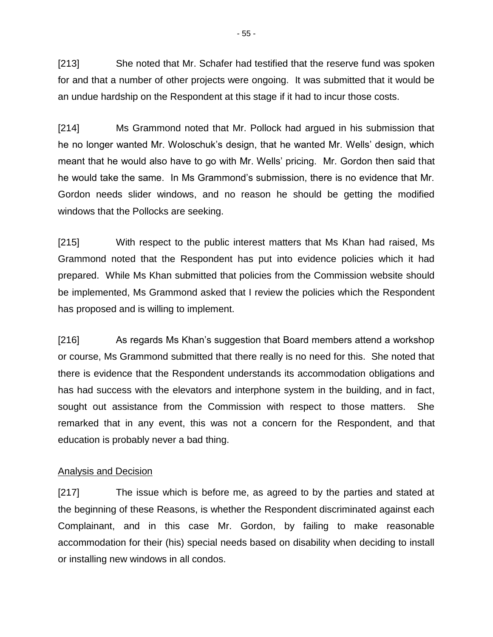[213] She noted that Mr. Schafer had testified that the reserve fund was spoken for and that a number of other projects were ongoing. It was submitted that it would be an undue hardship on the Respondent at this stage if it had to incur those costs.

[214] Ms Grammond noted that Mr. Pollock had argued in his submission that he no longer wanted Mr. Woloschuk's design, that he wanted Mr. Wells' design, which meant that he would also have to go with Mr. Wells' pricing. Mr. Gordon then said that he would take the same. In Ms Grammond's submission, there is no evidence that Mr. Gordon needs slider windows, and no reason he should be getting the modified windows that the Pollocks are seeking.

[215] With respect to the public interest matters that Ms Khan had raised, Ms Grammond noted that the Respondent has put into evidence policies which it had prepared. While Ms Khan submitted that policies from the Commission website should be implemented, Ms Grammond asked that I review the policies which the Respondent has proposed and is willing to implement.

[216] As regards Ms Khan's suggestion that Board members attend a workshop or course, Ms Grammond submitted that there really is no need for this. She noted that there is evidence that the Respondent understands its accommodation obligations and has had success with the elevators and interphone system in the building, and in fact, sought out assistance from the Commission with respect to those matters. She remarked that in any event, this was not a concern for the Respondent, and that education is probably never a bad thing.

## Analysis and Decision

[217] The issue which is before me, as agreed to by the parties and stated at the beginning of these Reasons, is whether the Respondent discriminated against each Complainant, and in this case Mr. Gordon, by failing to make reasonable accommodation for their (his) special needs based on disability when deciding to install or installing new windows in all condos.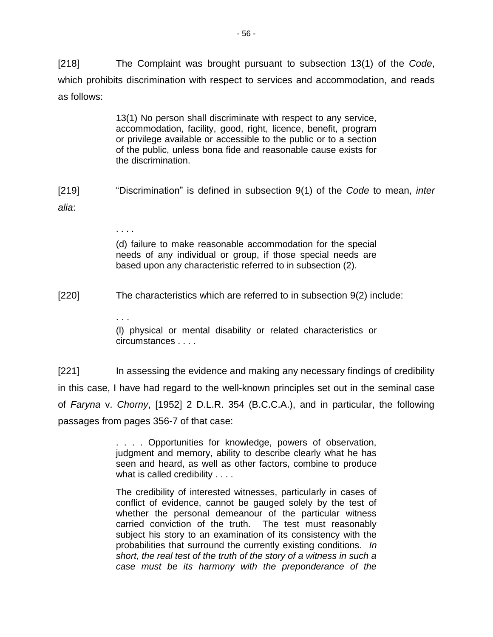[218] The Complaint was brought pursuant to subsection 13(1) of the *Code*, which prohibits discrimination with respect to services and accommodation, and reads as follows:

> 13(1) No person shall discriminate with respect to any service, accommodation, facility, good, right, licence, benefit, program or privilege available or accessible to the public or to a section of the public, unless bona fide and reasonable cause exists for the discrimination.

[219] "Discrimination" is defined in subsection 9(1) of the *Code* to mean, *inter alia*:

> (d) failure to make reasonable accommodation for the special needs of any individual or group, if those special needs are based upon any characteristic referred to in subsection (2).

[220] The characteristics which are referred to in subsection 9(2) include:

. . . .

. . .

(l) physical or mental disability or related characteristics or circumstances . . . .

[221] In assessing the evidence and making any necessary findings of credibility in this case, I have had regard to the well-known principles set out in the seminal case of *Faryna* v. *Chorny*, [1952] 2 D.L.R. 354 (B.C.C.A.), and in particular, the following passages from pages 356-7 of that case:

> . . . . Opportunities for knowledge, powers of observation, judgment and memory, ability to describe clearly what he has seen and heard, as well as other factors, combine to produce what is called credibility . . . .

> The credibility of interested witnesses, particularly in cases of conflict of evidence, cannot be gauged solely by the test of whether the personal demeanour of the particular witness carried conviction of the truth. The test must reasonably subject his story to an examination of its consistency with the probabilities that surround the currently existing conditions. *In short, the real test of the truth of the story of a witness in such a case must be its harmony with the preponderance of the*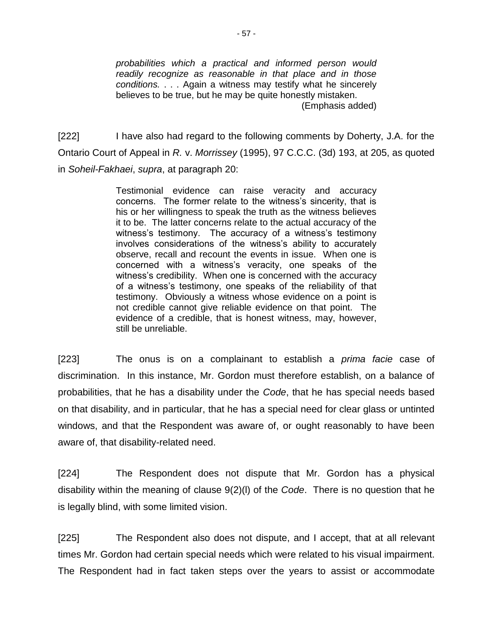*probabilities which a practical and informed person would readily recognize as reasonable in that place and in those conditions.* . . . Again a witness may testify what he sincerely believes to be true, but he may be quite honestly mistaken. (Emphasis added)

[222] I have also had regard to the following comments by Doherty, J.A. for the Ontario Court of Appeal in *R.* v. *Morrissey* (1995), 97 C.C.C. (3d) 193, at 205, as quoted in *Soheil-Fakhaei*, *supra*, at paragraph 20:

> Testimonial evidence can raise veracity and accuracy concerns. The former relate to the witness's sincerity, that is his or her willingness to speak the truth as the witness believes it to be. The latter concerns relate to the actual accuracy of the witness's testimony. The accuracy of a witness's testimony involves considerations of the witness's ability to accurately observe, recall and recount the events in issue. When one is concerned with a witness's veracity, one speaks of the witness's credibility. When one is concerned with the accuracy of a witness's testimony, one speaks of the reliability of that testimony. Obviously a witness whose evidence on a point is not credible cannot give reliable evidence on that point. The evidence of a credible, that is honest witness, may, however, still be unreliable.

[223] The onus is on a complainant to establish a *prima facie* case of discrimination. In this instance, Mr. Gordon must therefore establish, on a balance of probabilities, that he has a disability under the *Code*, that he has special needs based on that disability, and in particular, that he has a special need for clear glass or untinted windows, and that the Respondent was aware of, or ought reasonably to have been aware of, that disability-related need.

[224] The Respondent does not dispute that Mr. Gordon has a physical disability within the meaning of clause 9(2)(l) of the *Code*. There is no question that he is legally blind, with some limited vision.

[225] The Respondent also does not dispute, and I accept, that at all relevant times Mr. Gordon had certain special needs which were related to his visual impairment. The Respondent had in fact taken steps over the years to assist or accommodate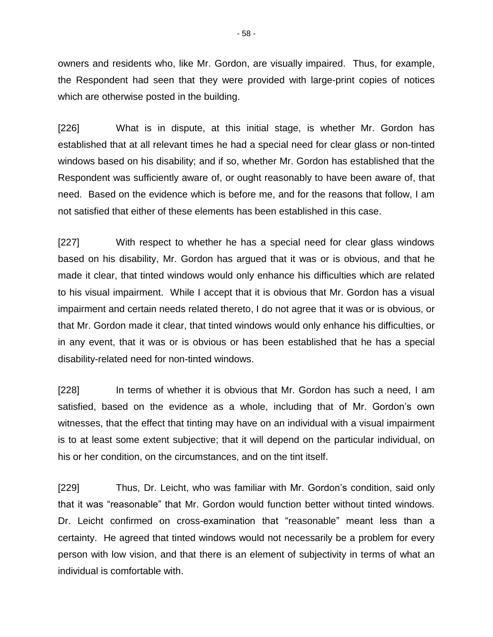owners and residents who, like Mr. Gordon, are visually impaired. Thus, for example, the Respondent had seen that they were provided with large-print copies of notices which are otherwise posted in the building.

[226] What is in dispute, at this initial stage, is whether Mr. Gordon has established that at all relevant times he had a special need for clear glass or non-tinted windows based on his disability; and if so, whether Mr. Gordon has established that the Respondent was sufficiently aware of, or ought reasonably to have been aware of, that need. Based on the evidence which is before me, and for the reasons that follow, I am not satisfied that either of these elements has been established in this case.

[227] With respect to whether he has a special need for clear glass windows based on his disability, Mr. Gordon has argued that it was or is obvious, and that he made it clear, that tinted windows would only enhance his difficulties which are related to his visual impairment. While I accept that it is obvious that Mr. Gordon has a visual impairment and certain needs related thereto, I do not agree that it was or is obvious, or that Mr. Gordon made it clear, that tinted windows would only enhance his difficulties, or in any event, that it was or is obvious or has been established that he has a special disability-related need for non-tinted windows.

[228] In terms of whether it is obvious that Mr. Gordon has such a need, I am satisfied, based on the evidence as a whole, including that of Mr. Gordon's own witnesses, that the effect that tinting may have on an individual with a visual impairment is to at least some extent subjective; that it will depend on the particular individual, on his or her condition, on the circumstances, and on the tint itself.

[229] Thus, Dr. Leicht, who was familiar with Mr. Gordon's condition, said only that it was "reasonable" that Mr. Gordon would function better without tinted windows. Dr. Leicht confirmed on cross-examination that "reasonable" meant less than a certainty. He agreed that tinted windows would not necessarily be a problem for every person with low vision, and that there is an element of subjectivity in terms of what an individual is comfortable with.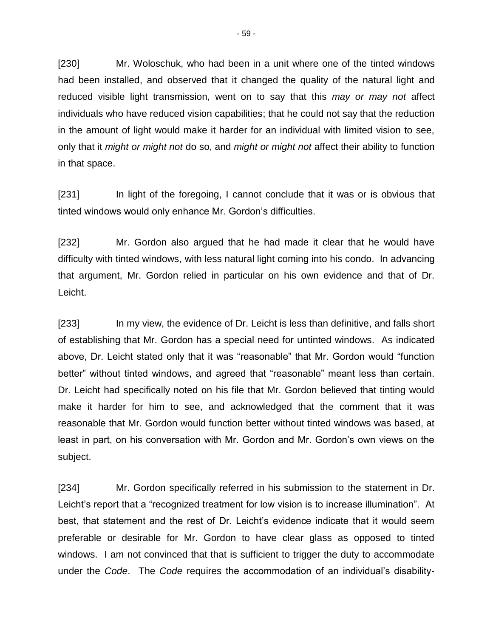[230] Mr. Woloschuk, who had been in a unit where one of the tinted windows had been installed, and observed that it changed the quality of the natural light and reduced visible light transmission, went on to say that this *may or may not* affect individuals who have reduced vision capabilities; that he could not say that the reduction in the amount of light would make it harder for an individual with limited vision to see, only that it *might or might not* do so, and *might or might not* affect their ability to function in that space.

[231] In light of the foregoing, I cannot conclude that it was or is obvious that tinted windows would only enhance Mr. Gordon's difficulties.

[232] Mr. Gordon also argued that he had made it clear that he would have difficulty with tinted windows, with less natural light coming into his condo. In advancing that argument, Mr. Gordon relied in particular on his own evidence and that of Dr. Leicht.

[233] In my view, the evidence of Dr. Leicht is less than definitive, and falls short of establishing that Mr. Gordon has a special need for untinted windows. As indicated above, Dr. Leicht stated only that it was "reasonable" that Mr. Gordon would "function better" without tinted windows, and agreed that "reasonable" meant less than certain. Dr. Leicht had specifically noted on his file that Mr. Gordon believed that tinting would make it harder for him to see, and acknowledged that the comment that it was reasonable that Mr. Gordon would function better without tinted windows was based, at least in part, on his conversation with Mr. Gordon and Mr. Gordon's own views on the subject.

[234] Mr. Gordon specifically referred in his submission to the statement in Dr. Leicht's report that a "recognized treatment for low vision is to increase illumination". At best, that statement and the rest of Dr. Leicht's evidence indicate that it would seem preferable or desirable for Mr. Gordon to have clear glass as opposed to tinted windows. I am not convinced that that is sufficient to trigger the duty to accommodate under the *Code*. The *Code* requires the accommodation of an individual's disability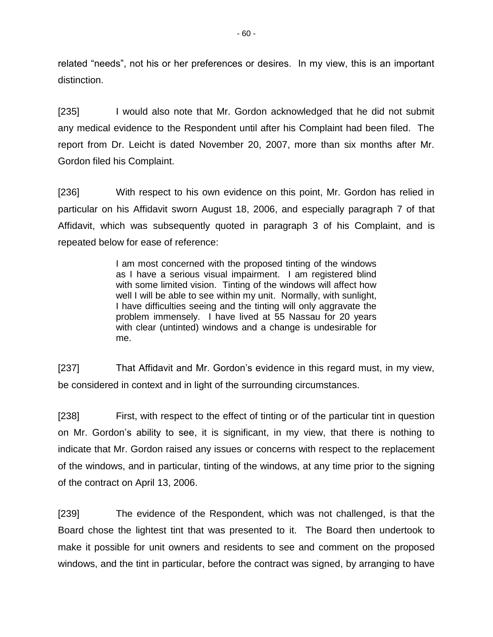related "needs", not his or her preferences or desires. In my view, this is an important distinction.

[235] I would also note that Mr. Gordon acknowledged that he did not submit any medical evidence to the Respondent until after his Complaint had been filed. The report from Dr. Leicht is dated November 20, 2007, more than six months after Mr. Gordon filed his Complaint.

[236] With respect to his own evidence on this point, Mr. Gordon has relied in particular on his Affidavit sworn August 18, 2006, and especially paragraph 7 of that Affidavit, which was subsequently quoted in paragraph 3 of his Complaint, and is repeated below for ease of reference:

> I am most concerned with the proposed tinting of the windows as I have a serious visual impairment. I am registered blind with some limited vision. Tinting of the windows will affect how well I will be able to see within my unit. Normally, with sunlight, I have difficulties seeing and the tinting will only aggravate the problem immensely. I have lived at 55 Nassau for 20 years with clear (untinted) windows and a change is undesirable for me.

[237] That Affidavit and Mr. Gordon's evidence in this regard must, in my view, be considered in context and in light of the surrounding circumstances.

[238] First, with respect to the effect of tinting or of the particular tint in question on Mr. Gordon's ability to see, it is significant, in my view, that there is nothing to indicate that Mr. Gordon raised any issues or concerns with respect to the replacement of the windows, and in particular, tinting of the windows, at any time prior to the signing of the contract on April 13, 2006.

[239] The evidence of the Respondent, which was not challenged, is that the Board chose the lightest tint that was presented to it. The Board then undertook to make it possible for unit owners and residents to see and comment on the proposed windows, and the tint in particular, before the contract was signed, by arranging to have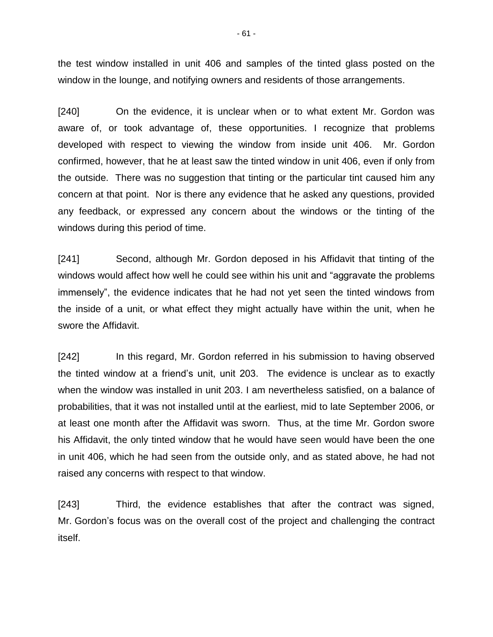the test window installed in unit 406 and samples of the tinted glass posted on the window in the lounge, and notifying owners and residents of those arrangements.

[240] On the evidence, it is unclear when or to what extent Mr. Gordon was aware of, or took advantage of, these opportunities. I recognize that problems developed with respect to viewing the window from inside unit 406. Mr. Gordon confirmed, however, that he at least saw the tinted window in unit 406, even if only from the outside. There was no suggestion that tinting or the particular tint caused him any concern at that point. Nor is there any evidence that he asked any questions, provided any feedback, or expressed any concern about the windows or the tinting of the windows during this period of time.

[241] Second, although Mr. Gordon deposed in his Affidavit that tinting of the windows would affect how well he could see within his unit and "aggravate the problems immensely", the evidence indicates that he had not yet seen the tinted windows from the inside of a unit, or what effect they might actually have within the unit, when he swore the Affidavit.

[242] In this regard, Mr. Gordon referred in his submission to having observed the tinted window at a friend's unit, unit 203. The evidence is unclear as to exactly when the window was installed in unit 203. I am nevertheless satisfied, on a balance of probabilities, that it was not installed until at the earliest, mid to late September 2006, or at least one month after the Affidavit was sworn. Thus, at the time Mr. Gordon swore his Affidavit, the only tinted window that he would have seen would have been the one in unit 406, which he had seen from the outside only, and as stated above, he had not raised any concerns with respect to that window.

[243] Third, the evidence establishes that after the contract was signed, Mr. Gordon's focus was on the overall cost of the project and challenging the contract itself.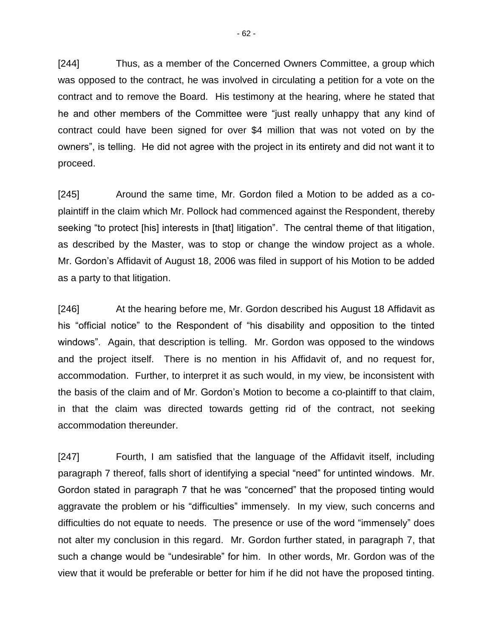[244] Thus, as a member of the Concerned Owners Committee, a group which was opposed to the contract, he was involved in circulating a petition for a vote on the contract and to remove the Board. His testimony at the hearing, where he stated that he and other members of the Committee were "just really unhappy that any kind of contract could have been signed for over \$4 million that was not voted on by the owners", is telling. He did not agree with the project in its entirety and did not want it to proceed.

[245] Around the same time, Mr. Gordon filed a Motion to be added as a coplaintiff in the claim which Mr. Pollock had commenced against the Respondent, thereby seeking "to protect [his] interests in [that] litigation". The central theme of that litigation, as described by the Master, was to stop or change the window project as a whole. Mr. Gordon's Affidavit of August 18, 2006 was filed in support of his Motion to be added as a party to that litigation.

[246] At the hearing before me, Mr. Gordon described his August 18 Affidavit as his "official notice" to the Respondent of "his disability and opposition to the tinted windows". Again, that description is telling. Mr. Gordon was opposed to the windows and the project itself. There is no mention in his Affidavit of, and no request for, accommodation. Further, to interpret it as such would, in my view, be inconsistent with the basis of the claim and of Mr. Gordon's Motion to become a co-plaintiff to that claim, in that the claim was directed towards getting rid of the contract, not seeking accommodation thereunder.

[247] Fourth, I am satisfied that the language of the Affidavit itself, including paragraph 7 thereof, falls short of identifying a special "need" for untinted windows. Mr. Gordon stated in paragraph 7 that he was "concerned" that the proposed tinting would aggravate the problem or his "difficulties" immensely. In my view, such concerns and difficulties do not equate to needs. The presence or use of the word "immensely" does not alter my conclusion in this regard. Mr. Gordon further stated, in paragraph 7, that such a change would be "undesirable" for him. In other words, Mr. Gordon was of the view that it would be preferable or better for him if he did not have the proposed tinting.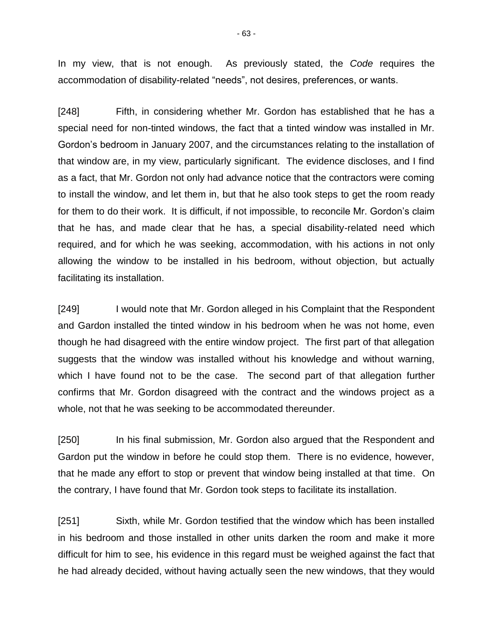In my view, that is not enough. As previously stated, the *Code* requires the accommodation of disability-related "needs", not desires, preferences, or wants.

[248] Fifth, in considering whether Mr. Gordon has established that he has a special need for non-tinted windows, the fact that a tinted window was installed in Mr. Gordon's bedroom in January 2007, and the circumstances relating to the installation of that window are, in my view, particularly significant. The evidence discloses, and I find as a fact, that Mr. Gordon not only had advance notice that the contractors were coming to install the window, and let them in, but that he also took steps to get the room ready for them to do their work. It is difficult, if not impossible, to reconcile Mr. Gordon's claim that he has, and made clear that he has, a special disability-related need which required, and for which he was seeking, accommodation, with his actions in not only allowing the window to be installed in his bedroom, without objection, but actually facilitating its installation.

[249] I would note that Mr. Gordon alleged in his Complaint that the Respondent and Gardon installed the tinted window in his bedroom when he was not home, even though he had disagreed with the entire window project. The first part of that allegation suggests that the window was installed without his knowledge and without warning, which I have found not to be the case. The second part of that allegation further confirms that Mr. Gordon disagreed with the contract and the windows project as a whole, not that he was seeking to be accommodated thereunder.

[250] In his final submission, Mr. Gordon also argued that the Respondent and Gardon put the window in before he could stop them. There is no evidence, however, that he made any effort to stop or prevent that window being installed at that time. On the contrary, I have found that Mr. Gordon took steps to facilitate its installation.

[251] Sixth, while Mr. Gordon testified that the window which has been installed in his bedroom and those installed in other units darken the room and make it more difficult for him to see, his evidence in this regard must be weighed against the fact that he had already decided, without having actually seen the new windows, that they would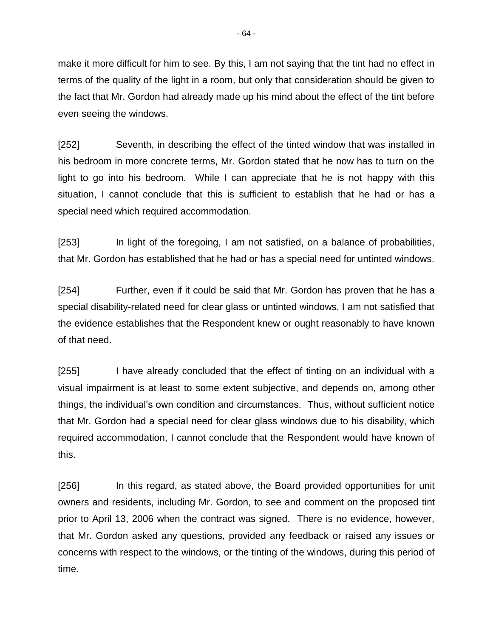make it more difficult for him to see. By this, I am not saying that the tint had no effect in terms of the quality of the light in a room, but only that consideration should be given to the fact that Mr. Gordon had already made up his mind about the effect of the tint before even seeing the windows.

[252] Seventh, in describing the effect of the tinted window that was installed in his bedroom in more concrete terms, Mr. Gordon stated that he now has to turn on the light to go into his bedroom. While I can appreciate that he is not happy with this situation, I cannot conclude that this is sufficient to establish that he had or has a special need which required accommodation.

[253] In light of the foregoing, I am not satisfied, on a balance of probabilities, that Mr. Gordon has established that he had or has a special need for untinted windows.

[254] Further, even if it could be said that Mr. Gordon has proven that he has a special disability-related need for clear glass or untinted windows, I am not satisfied that the evidence establishes that the Respondent knew or ought reasonably to have known of that need.

[255] I have already concluded that the effect of tinting on an individual with a visual impairment is at least to some extent subjective, and depends on, among other things, the individual's own condition and circumstances. Thus, without sufficient notice that Mr. Gordon had a special need for clear glass windows due to his disability, which required accommodation, I cannot conclude that the Respondent would have known of this.

[256] In this regard, as stated above, the Board provided opportunities for unit owners and residents, including Mr. Gordon, to see and comment on the proposed tint prior to April 13, 2006 when the contract was signed. There is no evidence, however, that Mr. Gordon asked any questions, provided any feedback or raised any issues or concerns with respect to the windows, or the tinting of the windows, during this period of time.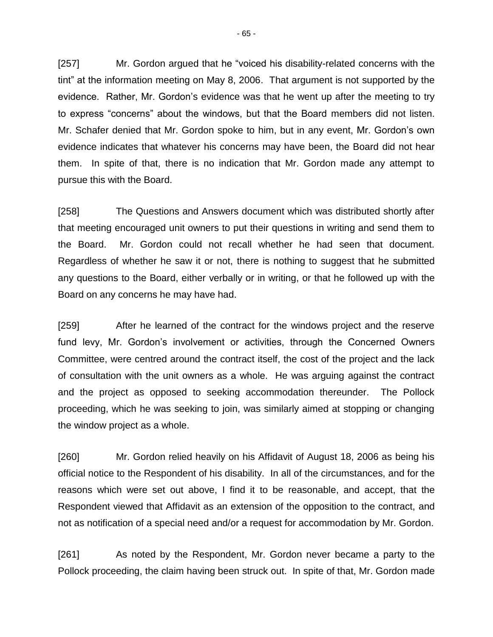[257] Mr. Gordon argued that he "voiced his disability-related concerns with the tint" at the information meeting on May 8, 2006. That argument is not supported by the evidence. Rather, Mr. Gordon's evidence was that he went up after the meeting to try to express "concerns" about the windows, but that the Board members did not listen. Mr. Schafer denied that Mr. Gordon spoke to him, but in any event, Mr. Gordon's own evidence indicates that whatever his concerns may have been, the Board did not hear them. In spite of that, there is no indication that Mr. Gordon made any attempt to pursue this with the Board.

[258] The Questions and Answers document which was distributed shortly after that meeting encouraged unit owners to put their questions in writing and send them to the Board. Mr. Gordon could not recall whether he had seen that document. Regardless of whether he saw it or not, there is nothing to suggest that he submitted any questions to the Board, either verbally or in writing, or that he followed up with the Board on any concerns he may have had.

[259] After he learned of the contract for the windows project and the reserve fund levy, Mr. Gordon's involvement or activities, through the Concerned Owners Committee, were centred around the contract itself, the cost of the project and the lack of consultation with the unit owners as a whole. He was arguing against the contract and the project as opposed to seeking accommodation thereunder. The Pollock proceeding, which he was seeking to join, was similarly aimed at stopping or changing the window project as a whole.

[260] Mr. Gordon relied heavily on his Affidavit of August 18, 2006 as being his official notice to the Respondent of his disability. In all of the circumstances, and for the reasons which were set out above, I find it to be reasonable, and accept, that the Respondent viewed that Affidavit as an extension of the opposition to the contract, and not as notification of a special need and/or a request for accommodation by Mr. Gordon.

[261] As noted by the Respondent, Mr. Gordon never became a party to the Pollock proceeding, the claim having been struck out. In spite of that, Mr. Gordon made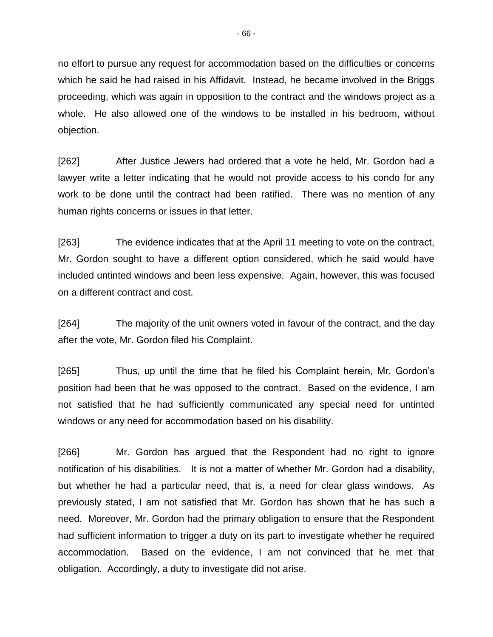no effort to pursue any request for accommodation based on the difficulties or concerns which he said he had raised in his Affidavit. Instead, he became involved in the Briggs proceeding, which was again in opposition to the contract and the windows project as a whole. He also allowed one of the windows to be installed in his bedroom, without objection.

[262] After Justice Jewers had ordered that a vote he held, Mr. Gordon had a lawyer write a letter indicating that he would not provide access to his condo for any work to be done until the contract had been ratified. There was no mention of any human rights concerns or issues in that letter.

[263] The evidence indicates that at the April 11 meeting to vote on the contract, Mr. Gordon sought to have a different option considered, which he said would have included untinted windows and been less expensive. Again, however, this was focused on a different contract and cost.

[264] The majority of the unit owners voted in favour of the contract, and the day after the vote, Mr. Gordon filed his Complaint.

[265] Thus, up until the time that he filed his Complaint herein, Mr. Gordon's position had been that he was opposed to the contract. Based on the evidence, I am not satisfied that he had sufficiently communicated any special need for untinted windows or any need for accommodation based on his disability.

[266] Mr. Gordon has argued that the Respondent had no right to ignore notification of his disabilities. It is not a matter of whether Mr. Gordon had a disability, but whether he had a particular need, that is, a need for clear glass windows. As previously stated, I am not satisfied that Mr. Gordon has shown that he has such a need. Moreover, Mr. Gordon had the primary obligation to ensure that the Respondent had sufficient information to trigger a duty on its part to investigate whether he required accommodation. Based on the evidence, I am not convinced that he met that obligation. Accordingly, a duty to investigate did not arise.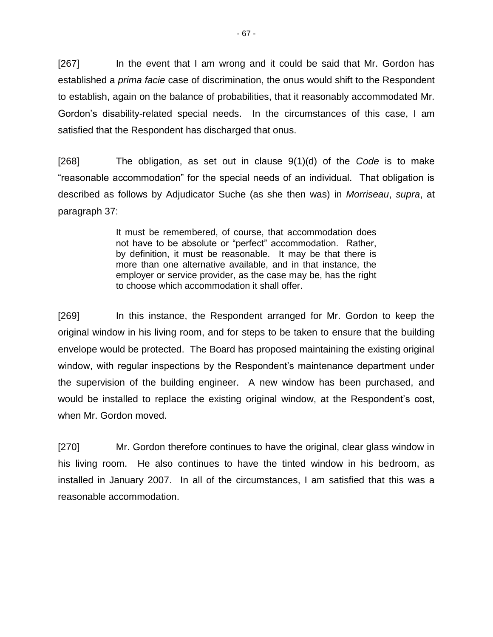[267] In the event that I am wrong and it could be said that Mr. Gordon has established a *prima facie* case of discrimination, the onus would shift to the Respondent to establish, again on the balance of probabilities, that it reasonably accommodated Mr. Gordon's disability-related special needs. In the circumstances of this case, I am satisfied that the Respondent has discharged that onus.

[268] The obligation, as set out in clause 9(1)(d) of the *Code* is to make "reasonable accommodation" for the special needs of an individual. That obligation is described as follows by Adjudicator Suche (as she then was) in *Morriseau*, *supra*, at paragraph 37:

> It must be remembered, of course, that accommodation does not have to be absolute or "perfect" accommodation. Rather, by definition, it must be reasonable. It may be that there is more than one alternative available, and in that instance, the employer or service provider, as the case may be, has the right to choose which accommodation it shall offer.

[269] In this instance, the Respondent arranged for Mr. Gordon to keep the original window in his living room, and for steps to be taken to ensure that the building envelope would be protected. The Board has proposed maintaining the existing original window, with regular inspections by the Respondent's maintenance department under the supervision of the building engineer. A new window has been purchased, and would be installed to replace the existing original window, at the Respondent's cost, when Mr. Gordon moved.

[270] Mr. Gordon therefore continues to have the original, clear glass window in his living room. He also continues to have the tinted window in his bedroom, as installed in January 2007. In all of the circumstances, I am satisfied that this was a reasonable accommodation.